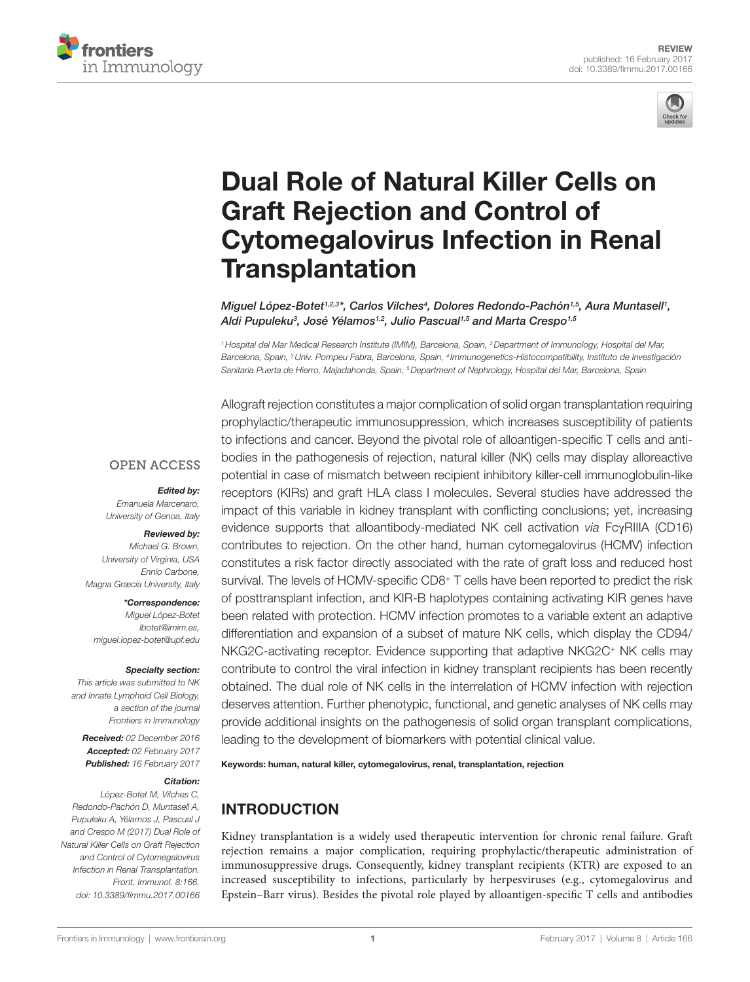



# [Dual Role of Natural Killer Cells on](http://www.frontiersin.org/Journal/10.3389/fimmu.2017.00166/abstract)  [Graft Rejection and Control of](http://www.frontiersin.org/Journal/10.3389/fimmu.2017.00166/abstract)  [Cytomegalovirus Infection in Renal](http://www.frontiersin.org/Journal/10.3389/fimmu.2017.00166/abstract)  **[Transplantation](http://www.frontiersin.org/Journal/10.3389/fimmu.2017.00166/abstract)**

*[Miguel López-Botet1](http://loop.frontiersin.org/people/32173),2,3 \*, [Carlos Vilches4](http://loop.frontiersin.org/people/32424) , Dolores Redondo-Pachón1,5 , [Aura Muntasell](http://loop.frontiersin.org/people/56324)1 , Aldi Pupuleku3 , [José Yélamos](http://loop.frontiersin.org/people/397749)1,2 , Julio Pascual1,5 and Marta Crespo1,5*

*1Hospital del Mar Medical Research Institute (IMIM), Barcelona, Spain, 2Department of Immunology, Hospital del Mar, Barcelona, Spain, 3Univ. Pompeu Fabra, Barcelona, Spain, 4 Immunogenetics-Histocompatibility, Instituto de Investigación Sanitaria Puerta de Hierro, Majadahonda, Spain, 5Department of Nephrology, Hospital del Mar, Barcelona, Spain*

## **OPEN ACCESS**

#### *Edited by:*

*Emanuela Marcenaro, University of Genoa, Italy*

#### *Reviewed by:*

*Michael G. Brown, University of Virginia, USA Ennio Carbone, Magna Græcia University, Italy*

#### *\*Correspondence:*

*Miguel López-Botet [lbotet@imim.es,](mailto:lbotet@imim.es) [miguel.lopez-botet@upf.edu](mailto:miguel.lopez-botet@upf.edu)*

#### *Specialty section:*

*This article was submitted to NK and Innate Lymphoid Cell Biology, a section of the journal Frontiers in Immunology*

*Received: 02 December 2016 Accepted: 02 February 2017 Published: 16 February 2017*

### *Citation:*

*López-Botet M, Vilches C, Redondo-Pachón D, Muntasell A, Pupuleku A, Yélamos J, Pascual J and Crespo M (2017) Dual Role of Natural Killer Cells on Graft Rejection and Control of Cytomegalovirus Infection in Renal Transplantation. Front. Immunol. 8:166. doi: [10.3389/fimmu.2017.00166](https://doi.org/10.3389/fimmu.2017.00166)*

Allograft rejection constitutes a major complication of solid organ transplantation requiring prophylactic/therapeutic immunosuppression, which increases susceptibility of patients to infections and cancer. Beyond the pivotal role of alloantigen-specific T cells and antibodies in the pathogenesis of rejection, natural killer (NK) cells may display alloreactive potential in case of mismatch between recipient inhibitory killer-cell immunoglobulin-like receptors (KIRs) and graft HLA class I molecules. Several studies have addressed the impact of this variable in kidney transplant with conflicting conclusions; yet, increasing evidence supports that alloantibody-mediated NK cell activation *via* FcγRIIIA (CD16) contributes to rejection. On the other hand, human cytomegalovirus (HCMV) infection constitutes a risk factor directly associated with the rate of graft loss and reduced host survival. The levels of HCMV-specific CD8+ T cells have been reported to predict the risk of posttransplant infection, and KIR-B haplotypes containing activating KIR genes have been related with protection. HCMV infection promotes to a variable extent an adaptive differentiation and expansion of a subset of mature NK cells, which display the CD94/ NKG2C-activating receptor. Evidence supporting that adaptive NKG2C+ NK cells may contribute to control the viral infection in kidney transplant recipients has been recently obtained. The dual role of NK cells in the interrelation of HCMV infection with rejection deserves attention. Further phenotypic, functional, and genetic analyses of NK cells may provide additional insights on the pathogenesis of solid organ transplant complications, leading to the development of biomarkers with potential clinical value.

Keywords: human, natural killer, cytomegalovirus, renal, transplantation, rejection

# INTRODUCTION

Kidney transplantation is a widely used therapeutic intervention for chronic renal failure. Graft rejection remains a major complication, requiring prophylactic/therapeutic administration of immunosuppressive drugs. Consequently, kidney transplant recipients (KTR) are exposed to an increased susceptibility to infections, particularly by herpesviruses (e.g., cytomegalovirus and Epstein–Barr virus). Besides the pivotal role played by alloantigen-specific T cells and antibodies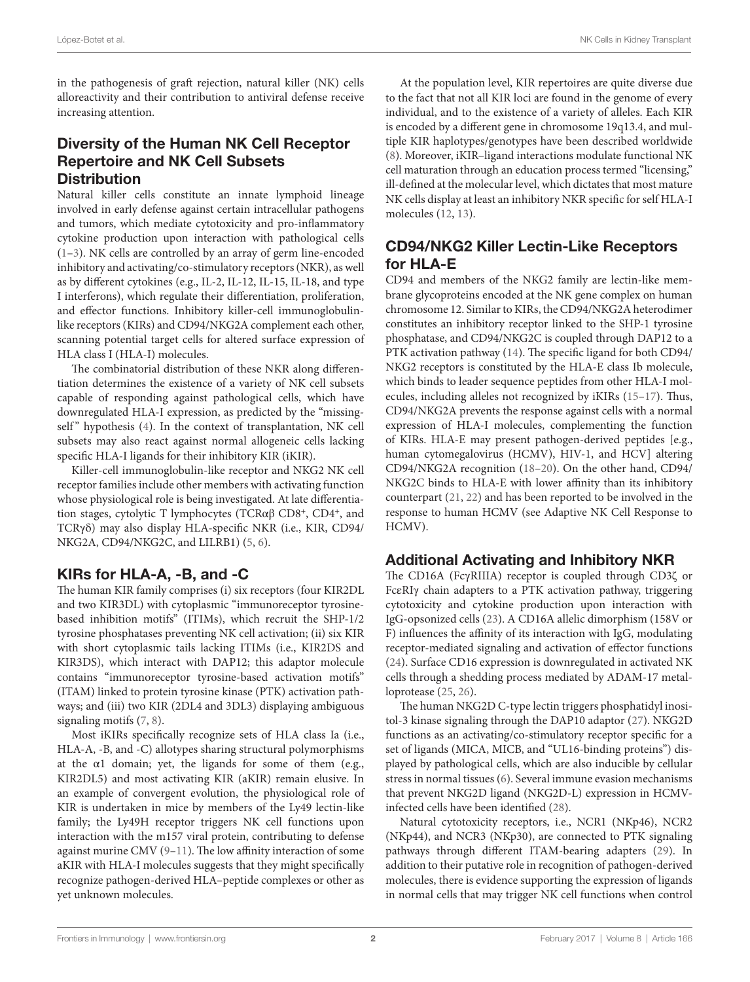in the pathogenesis of graft rejection, natural killer (NK) cells alloreactivity and their contribution to antiviral defense receive increasing attention.

# Diversity of the Human NK Cell Receptor Repertoire and NK Cell Subsets **Distribution**

Natural killer cells constitute an innate lymphoid lineage involved in early defense against certain intracellular pathogens and tumors, which mediate cytotoxicity and pro-inflammatory cytokine production upon interaction with pathological cells ([1](#page-6-0)[–3\)](#page-6-1). NK cells are controlled by an array of germ line-encoded inhibitory and activating/co-stimulatory receptors (NKR), as well as by different cytokines (e.g., IL-2, IL-12, IL-15, IL-18, and type I interferons), which regulate their differentiation, proliferation, and effector functions. Inhibitory killer-cell immunoglobulinlike receptors (KIRs) and CD94/NKG2A complement each other, scanning potential target cells for altered surface expression of HLA class I (HLA-I) molecules.

The combinatorial distribution of these NKR along differentiation determines the existence of a variety of NK cell subsets capable of responding against pathological cells, which have downregulated HLA-I expression, as predicted by the "missing-self" hypothesis ([4](#page-6-2)). In the context of transplantation, NK cell subsets may also react against normal allogeneic cells lacking specific HLA-I ligands for their inhibitory KIR (iKIR).

Killer-cell immunoglobulin-like receptor and NKG2 NK cell receptor families include other members with activating function whose physiological role is being investigated. At late differentiation stages, cytolytic T lymphocytes (TCRαβ CD8<sup>+</sup>, CD4<sup>+</sup>, and TCRγδ) may also display HLA-specific NKR (i.e., KIR, CD94/ NKG2A, CD94/NKG2C, and LILRB1) [\(5,](#page-6-3) [6](#page-6-4)).

# KIRs for HLA-A, -B, and -C

The human KIR family comprises (i) six receptors (four KIR2DL and two KIR3DL) with cytoplasmic "immunoreceptor tyrosinebased inhibition motifs" (ITIMs), which recruit the SHP-1/2 tyrosine phosphatases preventing NK cell activation; (ii) six KIR with short cytoplasmic tails lacking ITIMs (i.e., KIR2DS and KIR3DS), which interact with DAP12; this adaptor molecule contains "immunoreceptor tyrosine-based activation motifs" (ITAM) linked to protein tyrosine kinase (PTK) activation pathways; and (iii) two KIR (2DL4 and 3DL3) displaying ambiguous signaling motifs ([7](#page-6-5), [8](#page-6-6)).

Most iKIRs specifically recognize sets of HLA class Ia (i.e., HLA-A, -B, and -C) allotypes sharing structural polymorphisms at the α1 domain; yet, the ligands for some of them (e.g., KIR2DL5) and most activating KIR (aKIR) remain elusive. In an example of convergent evolution, the physiological role of KIR is undertaken in mice by members of the Ly49 lectin-like family; the Ly49H receptor triggers NK cell functions upon interaction with the m157 viral protein, contributing to defense against murine CMV [\(9–](#page-6-7)[11\)](#page-6-8). The low affinity interaction of some aKIR with HLA-I molecules suggests that they might specifically recognize pathogen-derived HLA–peptide complexes or other as yet unknown molecules.

At the population level, KIR repertoires are quite diverse due to the fact that not all KIR loci are found in the genome of every individual, and to the existence of a variety of alleles. Each KIR is encoded by a different gene in chromosome 19q13.4, and multiple KIR haplotypes/genotypes have been described worldwide [\(8\)](#page-6-6). Moreover, iKIR–ligand interactions modulate functional NK cell maturation through an education process termed "licensing," ill-defined at the molecular level, which dictates that most mature NK cells display at least an inhibitory NKR specific for self HLA-I molecules ([12,](#page-7-0) [13](#page-7-1)).

# CD94/NKG2 Killer Lectin-Like Receptors for HLA-E

CD94 and members of the NKG2 family are lectin-like membrane glycoproteins encoded at the NK gene complex on human chromosome 12. Similar to KIRs, the CD94/NKG2A heterodimer constitutes an inhibitory receptor linked to the SHP-1 tyrosine phosphatase, and CD94/NKG2C is coupled through DAP12 to a PTK activation pathway [\(14\)](#page-7-2). The specific ligand for both CD94/ NKG2 receptors is constituted by the HLA-E class Ib molecule, which binds to leader sequence peptides from other HLA-I molecules, including alleles not recognized by iKIRs ([15](#page-7-3)–[17](#page-7-4)). Thus, CD94/NKG2A prevents the response against cells with a normal expression of HLA-I molecules, complementing the function of KIRs. HLA-E may present pathogen-derived peptides [e.g., human cytomegalovirus (HCMV), HIV-1, and HCV] altering CD94/NKG2A recognition ([18–](#page-7-5)[20\)](#page-7-6). On the other hand, CD94/ NKG2C binds to HLA-E with lower affinity than its inhibitory counterpart ([21,](#page-7-7) [22](#page-7-8)) and has been reported to be involved in the response to human HCMV (see Adaptive NK Cell Response to HCMV).

# Additional Activating and Inhibitory NKR

The CD16A (FcγRIIIA) receptor is coupled through CD3ζ or FcεRIγ chain adapters to a PTK activation pathway, triggering cytotoxicity and cytokine production upon interaction with IgG-opsonized cells [\(23](#page-7-9)). A CD16A allelic dimorphism (158V or F) influences the affinity of its interaction with IgG, modulating receptor-mediated signaling and activation of effector functions [\(24\)](#page-7-10). Surface CD16 expression is downregulated in activated NK cells through a shedding process mediated by ADAM-17 metalloprotease [\(25,](#page-7-11) [26\)](#page-7-12).

The human NKG2D C-type lectin triggers phosphatidyl inositol-3 kinase signaling through the DAP10 adaptor ([27\)](#page-7-13). NKG2D functions as an activating/co-stimulatory receptor specific for a set of ligands (MICA, MICB, and "UL16-binding proteins") displayed by pathological cells, which are also inducible by cellular stress in normal tissues ([6](#page-6-4)). Several immune evasion mechanisms that prevent NKG2D ligand (NKG2D-L) expression in HCMVinfected cells have been identified [\(28](#page-7-14)).

Natural cytotoxicity receptors, i.e., NCR1 (NKp46), NCR2 (NKp44), and NCR3 (NKp30), are connected to PTK signaling pathways through different ITAM-bearing adapters ([29\)](#page-7-15). In addition to their putative role in recognition of pathogen-derived molecules, there is evidence supporting the expression of ligands in normal cells that may trigger NK cell functions when control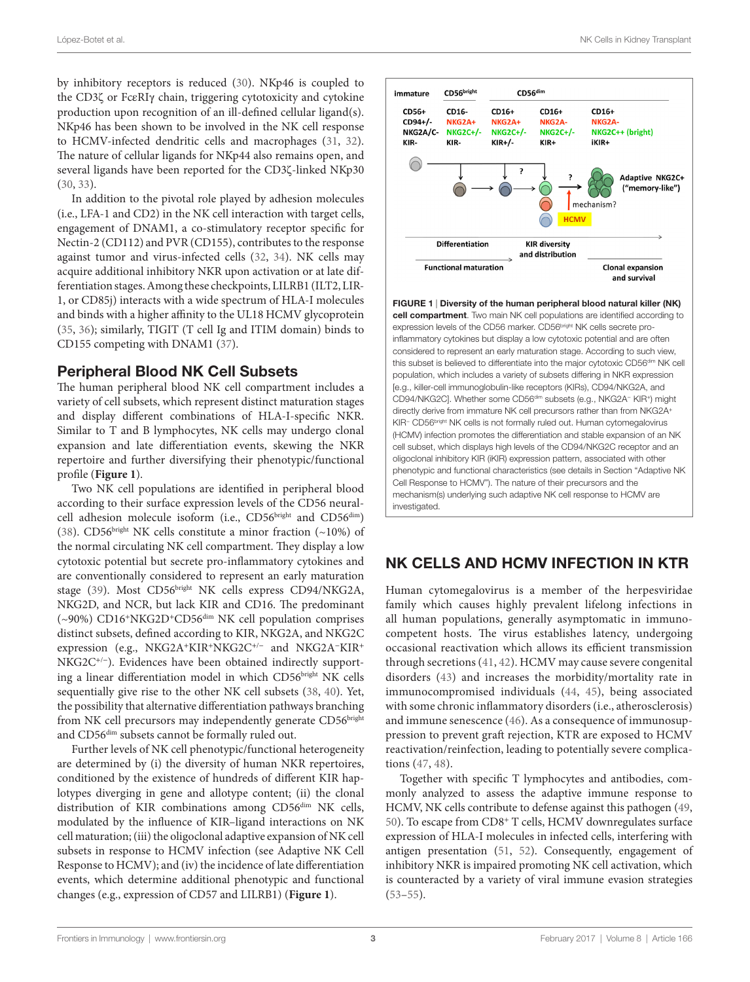by inhibitory receptors is reduced ([30\)](#page-7-16). NKp46 is coupled to the CD3ζ or FcεRIγ chain, triggering cytotoxicity and cytokine production upon recognition of an ill-defined cellular ligand(s). NKp46 has been shown to be involved in the NK cell response to HCMV-infected dendritic cells and macrophages [\(31](#page-7-17), [32\)](#page-7-18). The nature of cellular ligands for NKp44 also remains open, and several ligands have been reported for the CD3ζ-linked NKp30 ([30,](#page-7-16) [33](#page-7-19)).

In addition to the pivotal role played by adhesion molecules (i.e., LFA-1 and CD2) in the NK cell interaction with target cells, engagement of DNAM1, a co-stimulatory receptor specific for Nectin-2 (CD112) and PVR (CD155), contributes to the response against tumor and virus-infected cells [\(32](#page-7-18), [34](#page-7-20)). NK cells may acquire additional inhibitory NKR upon activation or at late differentiation stages. Among these checkpoints, LILRB1 (ILT2, LIR-1, or CD85j) interacts with a wide spectrum of HLA-I molecules and binds with a higher affinity to the UL18 HCMV glycoprotein ([35,](#page-7-21) [36\)](#page-7-22); similarly, TIGIT (T cell Ig and ITIM domain) binds to CD155 competing with DNAM1 ([37](#page-7-23)).

## Peripheral Blood NK Cell Subsets

The human peripheral blood NK cell compartment includes a variety of cell subsets, which represent distinct maturation stages and display different combinations of HLA-I-specific NKR. Similar to T and B lymphocytes, NK cells may undergo clonal expansion and late differentiation events, skewing the NKR repertoire and further diversifying their phenotypic/functional profile (**[Figure 1](#page-2-0)**).

Two NK cell populations are identified in peripheral blood according to their surface expression levels of the CD56 neuralcell adhesion molecule isoform (i.e., CD56bright and CD56<sup>dim</sup>) ([38\)](#page-7-24). CD56bright NK cells constitute a minor fraction  $(-10\%)$  of the normal circulating NK cell compartment. They display a low cytotoxic potential but secrete pro-inflammatory cytokines and are conventionally considered to represent an early maturation stage ([39\)](#page-7-25). Most CD56bright NK cells express CD94/NKG2A, NKG2D, and NCR, but lack KIR and CD16. The predominant (~90%) CD16<sup>+</sup>NKG2D<sup>+</sup>CD56dim NK cell population comprises distinct subsets, defined according to KIR, NKG2A, and NKG2C expression (e.g., NKG2A<sup>+</sup>KIR<sup>+</sup>NKG2C<sup>+</sup>/<sup>−</sup> and NKG2A<sup>−</sup>KIR<sup>+</sup> NKG2C<sup>+/−</sup>). Evidences have been obtained indirectly supporting a linear differentiation model in which CD56bright NK cells sequentially give rise to the other NK cell subsets [\(38](#page-7-24), [40\)](#page-7-26). Yet, the possibility that alternative differentiation pathways branching from NK cell precursors may independently generate CD56bright and CD56<sup>dim</sup> subsets cannot be formally ruled out.

Further levels of NK cell phenotypic/functional heterogeneity are determined by (i) the diversity of human NKR repertoires, conditioned by the existence of hundreds of different KIR haplotypes diverging in gene and allotype content; (ii) the clonal distribution of KIR combinations among CD56<sup>dim</sup> NK cells, modulated by the influence of KIR–ligand interactions on NK cell maturation; (iii) the oligoclonal adaptive expansion of NK cell subsets in response to HCMV infection (see Adaptive NK Cell Response to HCMV); and (iv) the incidence of late differentiation events, which determine additional phenotypic and functional changes (e.g., expression of CD57 and LILRB1) (**[Figure 1](#page-2-0)**).



<span id="page-2-0"></span>FIGURE 1 | Diversity of the human peripheral blood natural killer (NK) cell compartment. Two main NK cell populations are identified according to expression levels of the CD56 marker. CD56bright NK cells secrete proinflammatory cytokines but display a low cytotoxic potential and are often considered to represent an early maturation stage. According to such view, this subset is believed to differentiate into the major cytotoxic CD56<sup>dim</sup> NK cell population, which includes a variety of subsets differing in NKR expression [e.g., killer-cell immunoglobulin-like receptors (KIRs), CD94/NKG2A, and CD94/NKG2C]. Whether some CD56dim subsets (e.g., NKG2A− KIR+) might directly derive from immature NK cell precursors rather than from NKG2A<sup>+</sup> KIR<sup>-</sup> CD56<sup>bright</sup> NK cells is not formally ruled out. Human cytomegalovirus (HCMV) infection promotes the differentiation and stable expansion of an NK cell subset, which displays high levels of the CD94/NKG2C receptor and an oligoclonal inhibitory KIR (iKIR) expression pattern, associated with other phenotypic and functional characteristics (see details in Section "Adaptive NK Cell Response to HCMV"). The nature of their precursors and the mechanism(s) underlying such adaptive NK cell response to HCMV are investigated.

# NK CELLS AND HCMV INFECTION IN KTR

Human cytomegalovirus is a member of the herpesviridae family which causes highly prevalent lifelong infections in all human populations, generally asymptomatic in immunocompetent hosts. The virus establishes latency, undergoing occasional reactivation which allows its efficient transmission through secretions ([41](#page-7-27), [42](#page-7-28)). HCMV may cause severe congenital disorders ([43\)](#page-7-29) and increases the morbidity/mortality rate in immunocompromised individuals ([44](#page-7-30), [45](#page-7-31)), being associated with some chronic inflammatory disorders (i.e., atherosclerosis) and immune senescence [\(46\)](#page-7-32). As a consequence of immunosuppression to prevent graft rejection, KTR are exposed to HCMV reactivation/reinfection, leading to potentially severe complications ([47](#page-7-33), [48](#page-7-34)).

Together with specific T lymphocytes and antibodies, commonly analyzed to assess the adaptive immune response to HCMV, NK cells contribute to defense against this pathogen ([49,](#page-7-35) [50](#page-7-36)). To escape from CD8<sup>+</sup> T cells, HCMV downregulates surface expression of HLA-I molecules in infected cells, interfering with antigen presentation ([51,](#page-7-37) [52](#page-7-38)). Consequently, engagement of inhibitory NKR is impaired promoting NK cell activation, which is counteracted by a variety of viral immune evasion strategies  $(53-55)$  $(53-55)$ .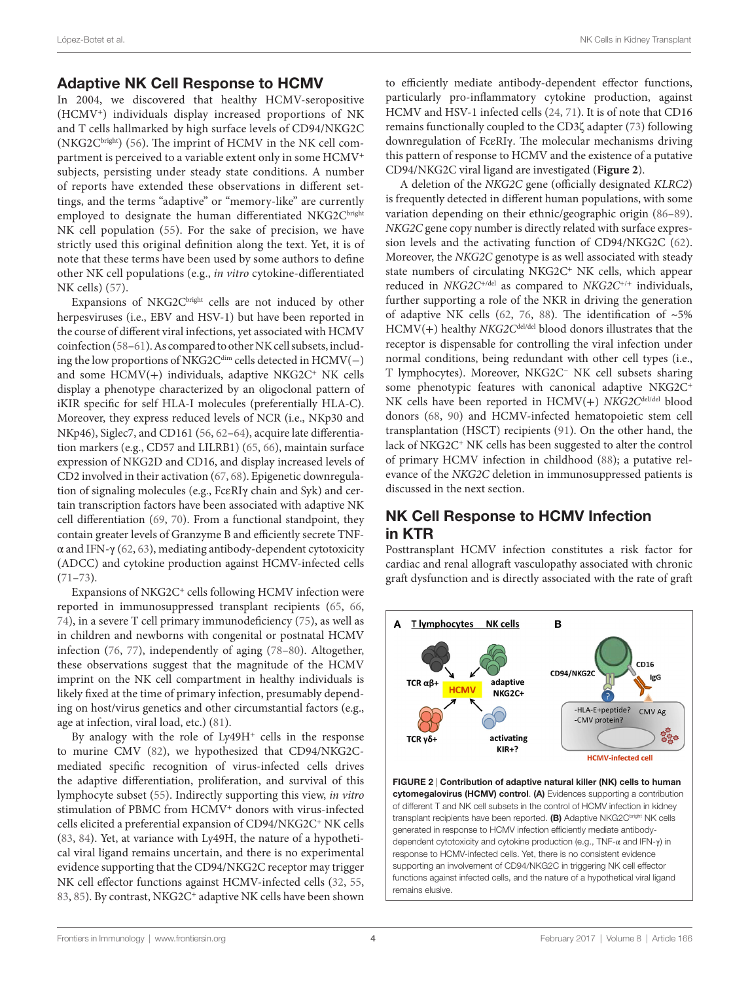## Adaptive NK Cell Response to HCMV

In 2004, we discovered that healthy HCMV-seropositive (HCMV<sup>+</sup>) individuals display increased proportions of NK and T cells hallmarked by high surface levels of CD94/NKG2C (NKG2C<sup>bright</sup>) [\(56\)](#page-8-0). The imprint of HCMV in the NK cell compartment is perceived to a variable extent only in some HCMV<sup>+</sup> subjects, persisting under steady state conditions. A number of reports have extended these observations in different settings, and the terms "adaptive" or "memory-like" are currently employed to designate the human differentiated NKG2Cbright NK cell population ([55](#page-7-40)). For the sake of precision, we have strictly used this original definition along the text. Yet, it is of note that these terms have been used by some authors to define other NK cell populations (e.g., *in vitro* cytokine-differentiated NK cells) [\(57\)](#page-8-1).

Expansions of NKG2Cbright cells are not induced by other herpesviruses (i.e., EBV and HSV-1) but have been reported in the course of different viral infections, yet associated with HCMV coinfection ([58–](#page-8-2)[61\)](#page-8-3). As compared to other NK cell subsets, including the low proportions of NKG2C<sup>dim</sup> cells detected in HCMV(-) and some HCMV(+) individuals, adaptive NKG2C<sup>+</sup> NK cells display a phenotype characterized by an oligoclonal pattern of iKIR specific for self HLA-I molecules (preferentially HLA-C). Moreover, they express reduced levels of NCR (i.e., NKp30 and NKp46), Siglec7, and CD161 [\(56,](#page-8-0) [62–](#page-8-4)[64\)](#page-8-5), acquire late differentiation markers (e.g., CD57 and LILRB1) ([65,](#page-8-6) [66](#page-8-7)), maintain surface expression of NKG2D and CD16, and display increased levels of CD2 involved in their activation [\(67](#page-8-8), [68](#page-8-9)). Epigenetic downregulation of signaling molecules (e.g., FcεRIγ chain and Syk) and certain transcription factors have been associated with adaptive NK cell differentiation ([69,](#page-8-10) [70](#page-8-11)). From a functional standpoint, they contain greater levels of Granzyme B and efficiently secrete TNFα and IFN-γ [\(62,](#page-8-4) [63\)](#page-8-12), mediating antibody-dependent cytotoxicity (ADCC) and cytokine production against HCMV-infected cells  $(71-73)$  $(71-73)$ .

Expansions of NKG2C<sup>+</sup> cells following HCMV infection were reported in immunosuppressed transplant recipients ([65](#page-8-6), [66,](#page-8-7) [74](#page-8-15)), in a severe T cell primary immunodeficiency [\(75\)](#page-8-16), as well as in children and newborns with congenital or postnatal HCMV infection [\(76](#page-8-17), [77\)](#page-8-18), independently of aging [\(78](#page-8-19)[–80](#page-8-20)). Altogether, these observations suggest that the magnitude of the HCMV imprint on the NK cell compartment in healthy individuals is likely fixed at the time of primary infection, presumably depending on host/virus genetics and other circumstantial factors (e.g., age at infection, viral load, etc.) [\(81](#page-8-21)).

By analogy with the role of  $Ly_49H^+$  cells in the response to murine CMV [\(82](#page-8-22)), we hypothesized that CD94/NKG2Cmediated specific recognition of virus-infected cells drives the adaptive differentiation, proliferation, and survival of this lymphocyte subset [\(55](#page-7-40)). Indirectly supporting this view, *in vitro* stimulation of PBMC from HCMV<sup>+</sup> donors with virus-infected cells elicited a preferential expansion of CD94/NKG2C<sup>+</sup> NK cells ([83,](#page-8-23) [84\)](#page-8-24). Yet, at variance with Ly49H, the nature of a hypothetical viral ligand remains uncertain, and there is no experimental evidence supporting that the CD94/NKG2C receptor may trigger NK cell effector functions against HCMV-infected cells ([32,](#page-7-18) [55,](#page-7-40) [83](#page-8-23), [85\)](#page-8-25). By contrast, NKG2C<sup>+</sup> adaptive NK cells have been shown

to efficiently mediate antibody-dependent effector functions, particularly pro-inflammatory cytokine production, against HCMV and HSV-1 infected cells ([24,](#page-7-10) [71](#page-8-13)). It is of note that CD16 remains functionally coupled to the CD3ζ adapter ([73\)](#page-8-14) following downregulation of FcεRIγ. The molecular mechanisms driving this pattern of response to HCMV and the existence of a putative CD94/NKG2C viral ligand are investigated (**[Figure 2](#page-3-0)**).

A deletion of the *NKG2C* gene (officially designated *KLRC2*) is frequently detected in different human populations, with some variation depending on their ethnic/geographic origin [\(86](#page-8-26)[–89](#page-8-27)). *NKG2C* gene copy number is directly related with surface expression levels and the activating function of CD94/NKG2C [\(62](#page-8-4)). Moreover, the *NKG2C* genotype is as well associated with steady state numbers of circulating NKG2C<sup>+</sup> NK cells, which appear reduced in *NKG2C*<sup>+</sup>/del as compared to *NKG2C*<sup>+</sup>/<sup>+</sup> individuals, further supporting a role of the NKR in driving the generation of adaptive NK cells ([62,](#page-8-4) [76](#page-8-17), [88](#page-8-28)). The identification of ~5% HCMV(+) healthy *NKG2C*del/del blood donors illustrates that the receptor is dispensable for controlling the viral infection under normal conditions, being redundant with other cell types (i.e., T lymphocytes). Moreover, NKG2C<sup>−</sup> NK cell subsets sharing some phenotypic features with canonical adaptive NKG2C<sup>+</sup> NK cells have been reported in HCMV(+) *NKG2C<sup>del/del</sup>* blood donors [\(68](#page-8-9), [90\)](#page-8-29) and HCMV-infected hematopoietic stem cell transplantation (HSCT) recipients [\(91](#page-8-30)). On the other hand, the lack of NKG2C<sup>+</sup> NK cells has been suggested to alter the control of primary HCMV infection in childhood [\(88\)](#page-8-28); a putative relevance of the *NKG2C* deletion in immunosuppressed patients is discussed in the next section.

# NK Cell Response to HCMV Infection in KTR

Posttransplant HCMV infection constitutes a risk factor for cardiac and renal allograft vasculopathy associated with chronic graft dysfunction and is directly associated with the rate of graft



<span id="page-3-0"></span>FIGURE 2 | Contribution of adaptive natural killer (NK) cells to human cytomegalovirus (HCMV) control. (A) Evidences supporting a contribution of different T and NK cell subsets in the control of HCMV infection in kidney transplant recipients have been reported. (B) Adaptive NKG2Cbright NK cells generated in response to HCMV infection efficiently mediate antibodydependent cytotoxicity and cytokine production (e.g., TNF-α and IFN-γ) in response to HCMV-infected cells. Yet, there is no consistent evidence supporting an involvement of CD94/NKG2C in triggering NK cell effector functions against infected cells, and the nature of a hypothetical viral ligand remains elusive.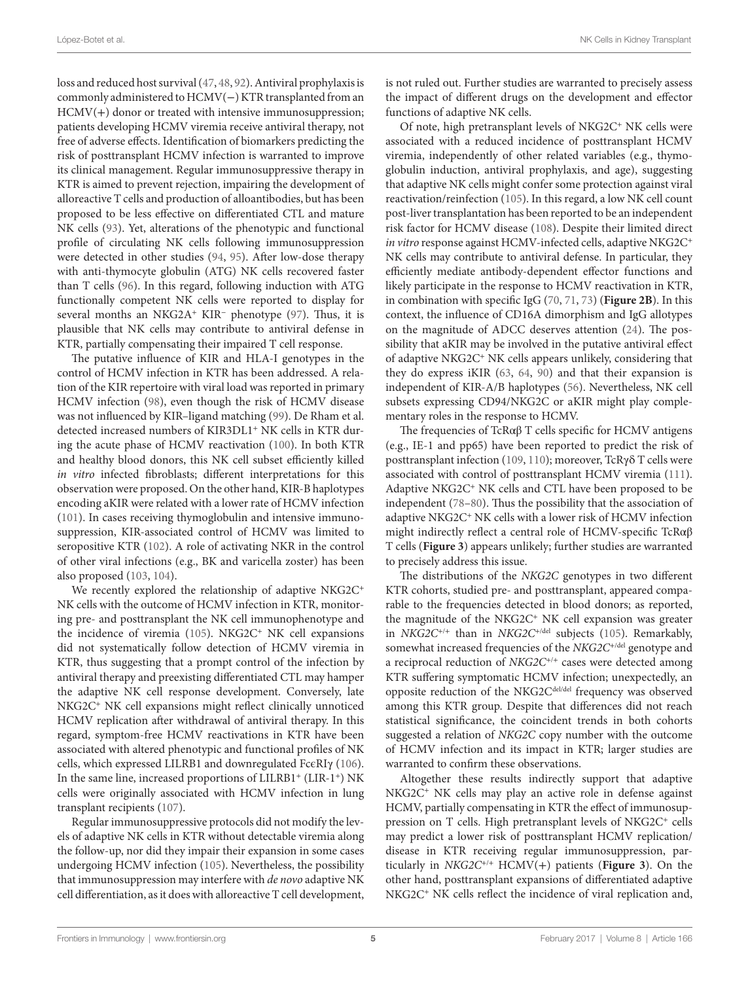loss and reduced host survival ([47,](#page-7-33) [48,](#page-7-34) [92](#page-9-0)). Antiviral prophylaxis is commonly administered to HCMV(−) KTR transplanted from an HCMV(+) donor or treated with intensive immunosuppression; patients developing HCMV viremia receive antiviral therapy, not free of adverse effects. Identification of biomarkers predicting the risk of posttransplant HCMV infection is warranted to improve its clinical management. Regular immunosuppressive therapy in KTR is aimed to prevent rejection, impairing the development of alloreactive T cells and production of alloantibodies, but has been proposed to be less effective on differentiated CTL and mature NK cells [\(93\)](#page-9-1). Yet, alterations of the phenotypic and functional profile of circulating NK cells following immunosuppression were detected in other studies [\(94](#page-9-2), [95\)](#page-9-3). After low-dose therapy with anti-thymocyte globulin (ATG) NK cells recovered faster than T cells ([96](#page-9-4)). In this regard, following induction with ATG functionally competent NK cells were reported to display for several months an NKG2A<sup>+</sup> KIR<sup>−</sup> phenotype ([97\)](#page-9-5). Thus, it is plausible that NK cells may contribute to antiviral defense in KTR, partially compensating their impaired T cell response.

The putative influence of KIR and HLA-I genotypes in the control of HCMV infection in KTR has been addressed. A relation of the KIR repertoire with viral load was reported in primary HCMV infection ([98\)](#page-9-6), even though the risk of HCMV disease was not influenced by KIR–ligand matching ([99\)](#page-9-7). De Rham et al. detected increased numbers of KIR3DL1+ NK cells in KTR during the acute phase of HCMV reactivation ([100\)](#page-9-8). In both KTR and healthy blood donors, this NK cell subset efficiently killed *in vitro* infected fibroblasts; different interpretations for this observation were proposed. On the other hand, KIR-B haplotypes encoding aKIR were related with a lower rate of HCMV infection ([101](#page-9-9)). In cases receiving thymoglobulin and intensive immunosuppression, KIR-associated control of HCMV was limited to seropositive KTR [\(102\)](#page-9-10). A role of activating NKR in the control of other viral infections (e.g., BK and varicella zoster) has been also proposed ([103](#page-9-11), [104](#page-9-12)).

We recently explored the relationship of adaptive NKG2C<sup>+</sup> NK cells with the outcome of HCMV infection in KTR, monitoring pre- and posttransplant the NK cell immunophenotype and the incidence of viremia [\(105](#page-9-13)). NKG2C<sup>+</sup> NK cell expansions did not systematically follow detection of HCMV viremia in KTR, thus suggesting that a prompt control of the infection by antiviral therapy and preexisting differentiated CTL may hamper the adaptive NK cell response development. Conversely, late NKG2C<sup>+</sup> NK cell expansions might reflect clinically unnoticed HCMV replication after withdrawal of antiviral therapy. In this regard, symptom-free HCMV reactivations in KTR have been associated with altered phenotypic and functional profiles of NK cells, which expressed LILRB1 and downregulated FcϵRIγ [\(106\)](#page-9-14). In the same line, increased proportions of LILRB1<sup>+</sup> (LIR-1<sup>+</sup>) NK cells were originally associated with HCMV infection in lung transplant recipients [\(107\)](#page-9-15).

Regular immunosuppressive protocols did not modify the levels of adaptive NK cells in KTR without detectable viremia along the follow-up, nor did they impair their expansion in some cases undergoing HCMV infection [\(105\)](#page-9-13). Nevertheless, the possibility that immunosuppression may interfere with *de novo* adaptive NK cell differentiation, as it does with alloreactive T cell development, is not ruled out. Further studies are warranted to precisely assess the impact of different drugs on the development and effector functions of adaptive NK cells.

Of note, high pretransplant levels of NKG2C<sup>+</sup> NK cells were associated with a reduced incidence of posttransplant HCMV viremia, independently of other related variables (e.g., thymoglobulin induction, antiviral prophylaxis, and age), suggesting that adaptive NK cells might confer some protection against viral reactivation/reinfection ([105\)](#page-9-13). In this regard, a low NK cell count post-liver transplantation has been reported to be an independent risk factor for HCMV disease ([108\)](#page-9-16). Despite their limited direct *in vitro* response against HCMV-infected cells, adaptive NKG2C<sup>+</sup> NK cells may contribute to antiviral defense. In particular, they efficiently mediate antibody-dependent effector functions and likely participate in the response to HCMV reactivation in KTR, in combination with specific IgG [\(70](#page-8-11), [71,](#page-8-13) [73\)](#page-8-14) (**[Figure 2B](#page-3-0)**). In this context, the influence of CD16A dimorphism and IgG allotypes on the magnitude of ADCC deserves attention [\(24](#page-7-10)). The possibility that aKIR may be involved in the putative antiviral effect of adaptive NKG2C<sup>+</sup> NK cells appears unlikely, considering that they do express iKIR ([63,](#page-8-12) [64,](#page-8-5) [90\)](#page-8-29) and that their expansion is independent of KIR-A/B haplotypes ([56\)](#page-8-0). Nevertheless, NK cell subsets expressing CD94/NKG2C or aKIR might play complementary roles in the response to HCMV.

The frequencies of TcRαβ T cells specific for HCMV antigens (e.g., IE-1 and pp65) have been reported to predict the risk of posttransplant infection ([109](#page-9-17), [110](#page-9-18)); moreover, TcRγδ T cells were associated with control of posttransplant HCMV viremia ([111](#page-9-19)). Adaptive NKG2C<sup>+</sup> NK cells and CTL have been proposed to be independent ([78–](#page-8-19)[80\)](#page-8-20). Thus the possibility that the association of adaptive NKG2C<sup>+</sup> NK cells with a lower risk of HCMV infection might indirectly reflect a central role of HCMV-specific TcRαβ T cells (**[Figure 3](#page-5-0)**) appears unlikely; further studies are warranted to precisely address this issue.

The distributions of the *NKG2C* genotypes in two different KTR cohorts, studied pre- and posttransplant, appeared comparable to the frequencies detected in blood donors; as reported, the magnitude of the NKG2C<sup>+</sup> NK cell expansion was greater in *NKG2C*<sup>+</sup>/<sup>+</sup> than in *NKG2C*<sup>+</sup>/del subjects [\(105](#page-9-13)). Remarkably, somewhat increased frequencies of the *NKG2C*<sup>+</sup>/del genotype and a reciprocal reduction of *NKG2C*<sup>+</sup>/<sup>+</sup> cases were detected among KTR suffering symptomatic HCMV infection; unexpectedly, an opposite reduction of the NKG2C<sup>del/del</sup> frequency was observed among this KTR group. Despite that differences did not reach statistical significance, the coincident trends in both cohorts suggested a relation of *NKG2C* copy number with the outcome of HCMV infection and its impact in KTR; larger studies are warranted to confirm these observations.

Altogether these results indirectly support that adaptive NKG2C<sup>+</sup> NK cells may play an active role in defense against HCMV, partially compensating in KTR the effect of immunosuppression on T cells. High pretransplant levels of NKG2C<sup>+</sup> cells may predict a lower risk of posttransplant HCMV replication/ disease in KTR receiving regular immunosuppression, particularly in *NKG2C*<sup>+</sup>/<sup>+</sup> HCMV(+) patients (**[Figure 3](#page-5-0)**). On the other hand, posttransplant expansions of differentiated adaptive NKG2C+ NK cells reflect the incidence of viral replication and,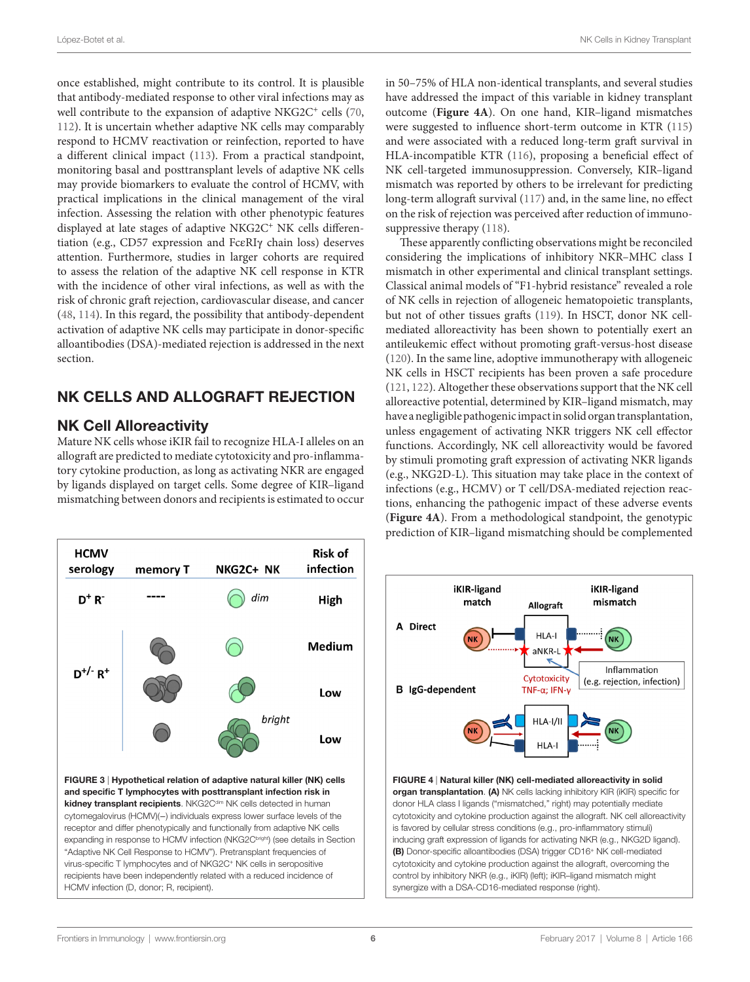once established, might contribute to its control. It is plausible that antibody-mediated response to other viral infections may as well contribute to the expansion of adaptive NKG2C<sup>+</sup> cells ([70,](#page-8-11) [112](#page-9-20)). It is uncertain whether adaptive NK cells may comparably respond to HCMV reactivation or reinfection, reported to have a different clinical impact ([113\)](#page-9-21). From a practical standpoint, monitoring basal and posttransplant levels of adaptive NK cells may provide biomarkers to evaluate the control of HCMV, with practical implications in the clinical management of the viral infection. Assessing the relation with other phenotypic features displayed at late stages of adaptive NKG2C+ NK cells differentiation (e.g., CD57 expression and FcεRIγ chain loss) deserves attention. Furthermore, studies in larger cohorts are required to assess the relation of the adaptive NK cell response in KTR with the incidence of other viral infections, as well as with the risk of chronic graft rejection, cardiovascular disease, and cancer ([48,](#page-7-34) [114\)](#page-9-22). In this regard, the possibility that antibody-dependent activation of adaptive NK cells may participate in donor-specific alloantibodies (DSA)-mediated rejection is addressed in the next section.

# NK CELLS AND ALLOGRAFT REJECTION

# NK Cell Alloreactivity

Mature NK cells whose iKIR fail to recognize HLA-I alleles on an allograft are predicted to mediate cytotoxicity and pro-inflammatory cytokine production, as long as activating NKR are engaged by ligands displayed on target cells. Some degree of KIR–ligand mismatching between donors and recipients is estimated to occur

<span id="page-5-0"></span>

in 50–75% of HLA non-identical transplants, and several studies have addressed the impact of this variable in kidney transplant outcome (**[Figure 4A](#page-5-1)**). On one hand, KIR–ligand mismatches were suggested to influence short-term outcome in KTR ([115\)](#page-9-23) and were associated with a reduced long-term graft survival in HLA-incompatible KTR [\(116\)](#page-9-24), proposing a beneficial effect of NK cell-targeted immunosuppression. Conversely, KIR–ligand mismatch was reported by others to be irrelevant for predicting long-term allograft survival ([117\)](#page-9-25) and, in the same line, no effect on the risk of rejection was perceived after reduction of immuno-suppressive therapy ([118](#page-9-26)).

These apparently conflicting observations might be reconciled considering the implications of inhibitory NKR–MHC class I mismatch in other experimental and clinical transplant settings. Classical animal models of "F1-hybrid resistance" revealed a role of NK cells in rejection of allogeneic hematopoietic transplants, but not of other tissues grafts [\(119\)](#page-9-27). In HSCT, donor NK cellmediated alloreactivity has been shown to potentially exert an antileukemic effect without promoting graft-versus-host disease [\(120](#page-9-28)). In the same line, adoptive immunotherapy with allogeneic NK cells in HSCT recipients has been proven a safe procedure [\(121](#page-9-29), [122\)](#page-9-30). Altogether these observations support that the NK cell alloreactive potential, determined by KIR–ligand mismatch, may have a negligible pathogenic impact in solid organ transplantation, unless engagement of activating NKR triggers NK cell effector functions. Accordingly, NK cell alloreactivity would be favored by stimuli promoting graft expression of activating NKR ligands (e.g., NKG2D-L). This situation may take place in the context of infections (e.g., HCMV) or T cell/DSA-mediated rejection reactions, enhancing the pathogenic impact of these adverse events (**[Figure 4A](#page-5-1)**). From a methodological standpoint, the genotypic prediction of KIR–ligand mismatching should be complemented



<span id="page-5-1"></span>synergize with a DSA-CD16-mediated response (right).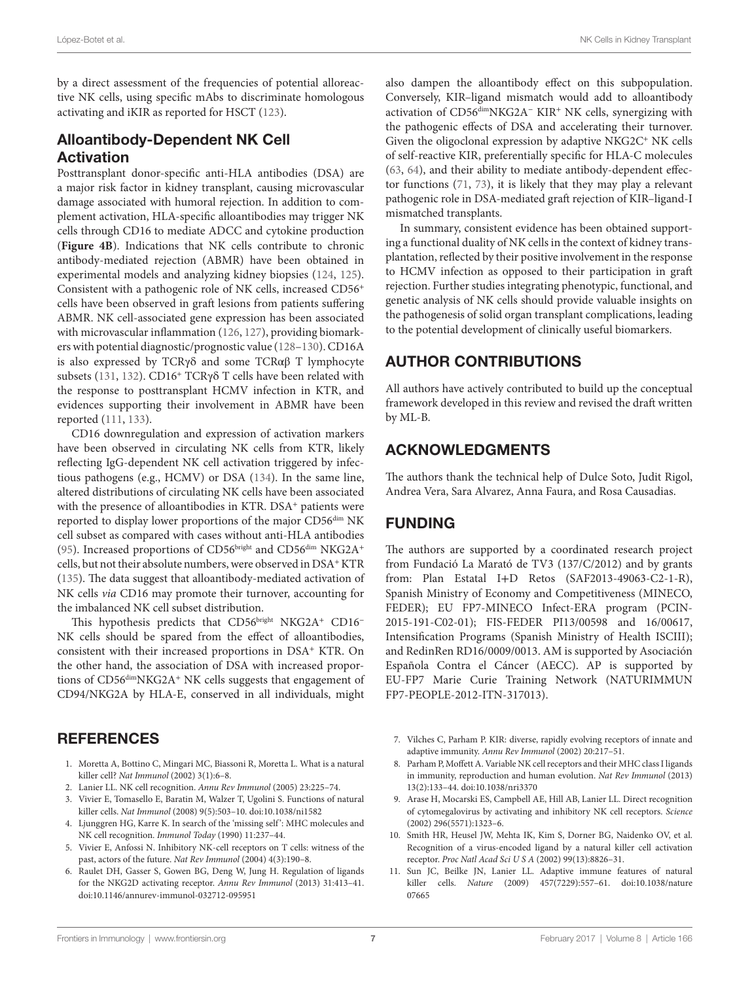by a direct assessment of the frequencies of potential alloreactive NK cells, using specific mAbs to discriminate homologous activating and iKIR as reported for HSCT ([123](#page-9-31)).

# Alloantibody-Dependent NK Cell Activation

Posttransplant donor-specific anti-HLA antibodies (DSA) are a major risk factor in kidney transplant, causing microvascular damage associated with humoral rejection. In addition to complement activation, HLA-specific alloantibodies may trigger NK cells through CD16 to mediate ADCC and cytokine production (**[Figure 4B](#page-5-1)**). Indications that NK cells contribute to chronic antibody-mediated rejection (ABMR) have been obtained in experimental models and analyzing kidney biopsies [\(124,](#page-9-32) [125\)](#page-9-33). Consistent with a pathogenic role of NK cells, increased CD56<sup>+</sup> cells have been observed in graft lesions from patients suffering ABMR. NK cell-associated gene expression has been associated with microvascular inflammation [\(126](#page-9-34), [127\)](#page-9-35), providing biomarkers with potential diagnostic/prognostic value ([128–](#page-9-36)[130](#page-10-0)). CD16A is also expressed by TCRγδ and some TCRαβ T lymphocyte subsets [\(131](#page-10-1), [132](#page-10-2)). CD16<sup>+</sup> TCRγδ T cells have been related with the response to posttransplant HCMV infection in KTR, and evidences supporting their involvement in ABMR have been reported ([111](#page-9-19), [133](#page-10-3)).

CD16 downregulation and expression of activation markers have been observed in circulating NK cells from KTR, likely reflecting IgG-dependent NK cell activation triggered by infectious pathogens (e.g., HCMV) or DSA ([134](#page-10-4)). In the same line, altered distributions of circulating NK cells have been associated with the presence of alloantibodies in KTR. DSA<sup>+</sup> patients were reported to display lower proportions of the major CD56<sup>dim</sup> NK cell subset as compared with cases without anti-HLA antibodies ([95\)](#page-9-3). Increased proportions of CD56bright and CD56dim NKG2A<sup>+</sup> cells, but not their absolute numbers, were observed in DSA<sup>+</sup> KTR ([135](#page-10-5)). The data suggest that alloantibody-mediated activation of NK cells *via* CD16 may promote their turnover, accounting for the imbalanced NK cell subset distribution.

This hypothesis predicts that CD56bright NKG2A<sup>+</sup> CD16<sup>−</sup> NK cells should be spared from the effect of alloantibodies, consistent with their increased proportions in DSA<sup>+</sup> KTR. On the other hand, the association of DSA with increased proportions of CD56<sup>dim</sup>NKG2A<sup>+</sup> NK cells suggests that engagement of CD94/NKG2A by HLA-E, conserved in all individuals, might

## **REFERENCES**

- <span id="page-6-0"></span>1. Moretta A, Bottino C, Mingari MC, Biassoni R, Moretta L. What is a natural killer cell? *Nat Immunol* (2002) 3(1):6–8.
- 2. Lanier LL. NK cell recognition. *Annu Rev Immunol* (2005) 23:225–74.
- <span id="page-6-1"></span>3. Vivier E, Tomasello E, Baratin M, Walzer T, Ugolini S. Functions of natural killer cells. *Nat Immunol* (2008) 9(5):503–10. doi[:10.1038/ni1582](https://doi.org/10.1038/ni1582)
- <span id="page-6-2"></span>4. Ljunggren HG, Karre K. In search of the 'missing self ': MHC molecules and NK cell recognition. *Immunol Today* (1990) 11:237–44.
- <span id="page-6-3"></span>5. Vivier E, Anfossi N. Inhibitory NK-cell receptors on T cells: witness of the past, actors of the future. *Nat Rev Immunol* (2004) 4(3):190–8.
- <span id="page-6-4"></span>6. Raulet DH, Gasser S, Gowen BG, Deng W, Jung H. Regulation of ligands for the NKG2D activating receptor. *Annu Rev Immunol* (2013) 31:413–41. doi:[10.1146/annurev-immunol-032712-095951](https://doi.org/10.1146/annurev-immunol-032712-095951)

also dampen the alloantibody effect on this subpopulation. Conversely, KIR–ligand mismatch would add to alloantibody activation of CD56dimNKG2A<sup>−</sup> KIR<sup>+</sup> NK cells, synergizing with the pathogenic effects of DSA and accelerating their turnover. Given the oligoclonal expression by adaptive NKG2C<sup>+</sup> NK cells of self-reactive KIR, preferentially specific for HLA-C molecules [\(63,](#page-8-12) [64\)](#page-8-5), and their ability to mediate antibody-dependent effector functions ([71](#page-8-13), [73](#page-8-14)), it is likely that they may play a relevant pathogenic role in DSA-mediated graft rejection of KIR–ligand-I mismatched transplants.

In summary, consistent evidence has been obtained supporting a functional duality of NK cells in the context of kidney transplantation, reflected by their positive involvement in the response to HCMV infection as opposed to their participation in graft rejection. Further studies integrating phenotypic, functional, and genetic analysis of NK cells should provide valuable insights on the pathogenesis of solid organ transplant complications, leading to the potential development of clinically useful biomarkers.

# AUTHOR CONTRIBUTIONS

All authors have actively contributed to build up the conceptual framework developed in this review and revised the draft written by ML-B.

# ACKNOWLEDGMENTS

The authors thank the technical help of Dulce Soto, Judit Rigol, Andrea Vera, Sara Alvarez, Anna Faura, and Rosa Causadias.

# FUNDING

The authors are supported by a coordinated research project from Fundació La Marató de TV3 (137/C/2012) and by grants from: Plan Estatal I+D Retos (SAF2013-49063-C2-1-R), Spanish Ministry of Economy and Competitiveness (MINECO, FEDER); EU FP7-MINECO Infect-ERA program (PCIN-2015-191-C02-01); FIS-FEDER PI13/00598 and 16/00617, Intensification Programs (Spanish Ministry of Health ISCIII); and RedinRen RD16/0009/0013. AM is supported by Asociación Española Contra el Cáncer (AECC). AP is supported by EU-FP7 Marie Curie Training Network (NATURIMMUN FP7-PEOPLE-2012-ITN-317013).

- <span id="page-6-5"></span>7. Vilches C, Parham P. KIR: diverse, rapidly evolving receptors of innate and adaptive immunity. *Annu Rev Immunol* (2002) 20:217–51.
- <span id="page-6-6"></span>8. Parham P, Moffett A. Variable NK cell receptors and their MHC class I ligands in immunity, reproduction and human evolution. *Nat Rev Immunol* (2013) 13(2):133–44. doi:[10.1038/nri3370](https://doi.org/10.1038/nri3370)
- <span id="page-6-7"></span>9. Arase H, Mocarski ES, Campbell AE, Hill AB, Lanier LL. Direct recognition of cytomegalovirus by activating and inhibitory NK cell receptors. *Science* (2002) 296(5571):1323–6.
- 10. Smith HR, Heusel JW, Mehta IK, Kim S, Dorner BG, Naidenko OV, et al. Recognition of a virus-encoded ligand by a natural killer cell activation receptor. *Proc Natl Acad Sci U S A* (2002) 99(13):8826–31.
- <span id="page-6-8"></span>11. Sun JC, Beilke JN, Lanier LL. Adaptive immune features of natural killer cells. *Nature* (2009) 457(7229):557–61. doi:[10.1038/nature](https://doi.org/10.1038/nature
07665) [07665](https://doi.org/10.1038/nature
07665)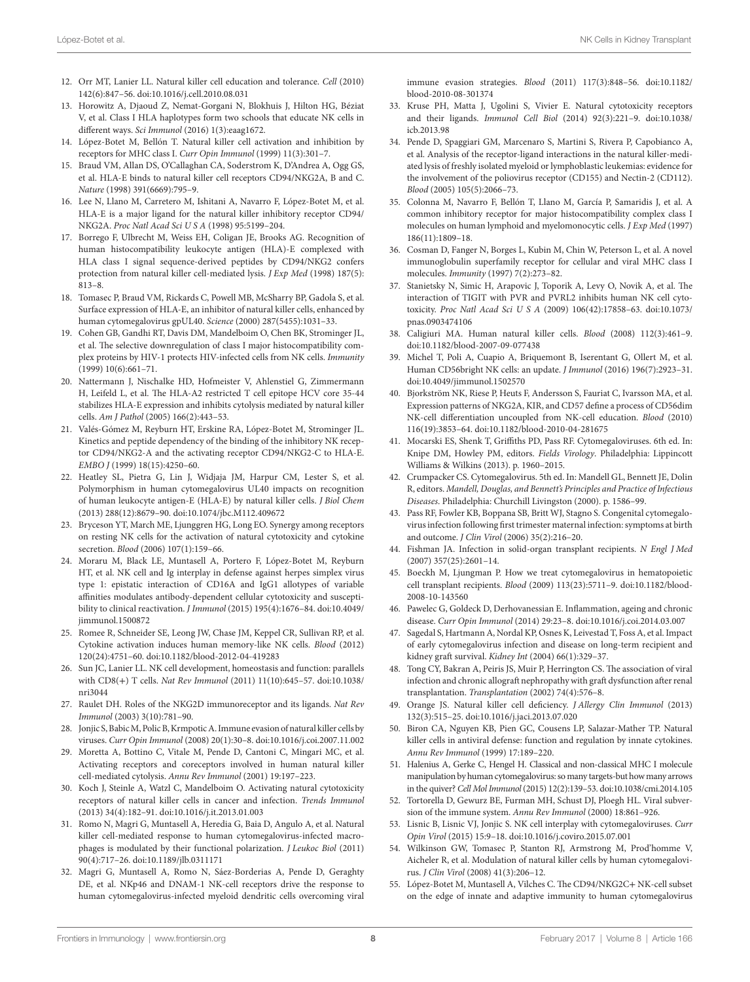- <span id="page-7-0"></span>12. Orr MT, Lanier LL. Natural killer cell education and tolerance. *Cell* (2010) 142(6):847–56. doi[:10.1016/j.cell.2010.08.031](https://doi.org/10.1016/j.cell.2010.08.031)
- <span id="page-7-1"></span>13. Horowitz A, Djaoud Z, Nemat-Gorgani N, Blokhuis J, Hilton HG, Béziat V, et al. Class I HLA haplotypes form two schools that educate NK cells in different ways. *Sci Immunol* (2016) 1(3):eaag1672.
- <span id="page-7-2"></span>14. López-Botet M, Bellón T. Natural killer cell activation and inhibition by receptors for MHC class I. *Curr Opin Immunol* (1999) 11(3):301–7.
- <span id="page-7-3"></span>15. Braud VM, Allan DS, O'Callaghan CA, Soderstrom K, D'Andrea A, Ogg GS, et al. HLA-E binds to natural killer cell receptors CD94/NKG2A, B and C. *Nature* (1998) 391(6669):795–9.
- 16. Lee N, Llano M, Carretero M, Ishitani A, Navarro F, López-Botet M, et al. HLA-E is a major ligand for the natural killer inhibitory receptor CD94/ NKG2A. *Proc Natl Acad Sci U S A* (1998) 95:5199–204.
- <span id="page-7-4"></span>17. Borrego F, Ulbrecht M, Weiss EH, Coligan JE, Brooks AG. Recognition of human histocompatibility leukocyte antigen (HLA)-E complexed with HLA class I signal sequence-derived peptides by CD94/NKG2 confers protection from natural killer cell-mediated lysis. *J Exp Med* (1998) 187(5): 813–8.
- <span id="page-7-5"></span>18. Tomasec P, Braud VM, Rickards C, Powell MB, McSharry BP, Gadola S, et al. Surface expression of HLA-E, an inhibitor of natural killer cells, enhanced by human cytomegalovirus gpUL40. *Science* (2000) 287(5455):1031–33.
- 19. Cohen GB, Gandhi RT, Davis DM, Mandelboim O, Chen BK, Strominger JL, et al. The selective downregulation of class I major histocompatibility complex proteins by HIV-1 protects HIV-infected cells from NK cells. *Immunity* (1999) 10(6):661–71.
- <span id="page-7-6"></span>20. Nattermann J, Nischalke HD, Hofmeister V, Ahlenstiel G, Zimmermann H, Leifeld L, et al. The HLA-A2 restricted T cell epitope HCV core 35-44 stabilizes HLA-E expression and inhibits cytolysis mediated by natural killer cells. *Am J Pathol* (2005) 166(2):443–53.
- <span id="page-7-7"></span>21. Valés-Gómez M, Reyburn HT, Erskine RA, López-Botet M, Strominger JL. Kinetics and peptide dependency of the binding of the inhibitory NK receptor CD94/NKG2-A and the activating receptor CD94/NKG2-C to HLA-E. *EMBO J* (1999) 18(15):4250–60.
- <span id="page-7-8"></span>22. Heatley SL, Pietra G, Lin J, Widjaja JM, Harpur CM, Lester S, et al. Polymorphism in human cytomegalovirus UL40 impacts on recognition of human leukocyte antigen-E (HLA-E) by natural killer cells. *J Biol Chem* (2013) 288(12):8679–90. doi:[10.1074/jbc.M112.409672](https://doi.org/10.1074/jbc.M112.409672)
- <span id="page-7-9"></span>23. Bryceson YT, March ME, Ljunggren HG, Long EO. Synergy among receptors on resting NK cells for the activation of natural cytotoxicity and cytokine secretion. *Blood* (2006) 107(1):159–66.
- <span id="page-7-10"></span>24. Moraru M, Black LE, Muntasell A, Portero F, López-Botet M, Reyburn HT, et al. NK cell and Ig interplay in defense against herpes simplex virus type 1: epistatic interaction of CD16A and IgG1 allotypes of variable affinities modulates antibody-dependent cellular cytotoxicity and susceptibility to clinical reactivation. *J Immunol* (2015) 195(4):1676–84. doi[:10.4049/](https://doi.org/10.4049/jimmunol.1500872) [jimmunol.1500872](https://doi.org/10.4049/jimmunol.1500872)
- <span id="page-7-11"></span>25. Romee R, Schneider SE, Leong JW, Chase JM, Keppel CR, Sullivan RP, et al. Cytokine activation induces human memory-like NK cells. *Blood* (2012) 120(24):4751–60. doi:[10.1182/blood-2012-04-419283](https://doi.org/10.1182/blood-2012-04-419283)
- <span id="page-7-12"></span>26. Sun JC, Lanier LL. NK cell development, homeostasis and function: parallels with CD8(+) T cells. *Nat Rev Immunol* (2011) 11(10):645–57. doi[:10.1038/](https://doi.org/10.1038/nri3044) [nri3044](https://doi.org/10.1038/nri3044)
- <span id="page-7-13"></span>27. Raulet DH. Roles of the NKG2D immunoreceptor and its ligands. *Nat Rev Immunol* (2003) 3(10):781–90.
- <span id="page-7-14"></span>28. Jonjic S, Babic M, Polic B, Krmpotic A. Immune evasion of natural killer cells by viruses. *Curr Opin Immunol* (2008) 20(1):30–8. doi[:10.1016/j.coi.2007.11.002](https://doi.org/10.1016/
j.coi.2007.11.002)
- <span id="page-7-15"></span>29. Moretta A, Bottino C, Vitale M, Pende D, Cantoni C, Mingari MC, et al. Activating receptors and coreceptors involved in human natural killer cell-mediated cytolysis. *Annu Rev Immunol* (2001) 19:197–223.
- <span id="page-7-16"></span>30. Koch J, Steinle A, Watzl C, Mandelboim O. Activating natural cytotoxicity receptors of natural killer cells in cancer and infection. *Trends Immunol* (2013) 34(4):182–91. doi[:10.1016/j.it.2013.01.003](https://doi.org/10.1016/j.it.2013.01.003)
- <span id="page-7-17"></span>31. Romo N, Magri G, Muntasell A, Heredia G, Baia D, Angulo A, et al. Natural killer cell-mediated response to human cytomegalovirus-infected macrophages is modulated by their functional polarization. *J Leukoc Biol* (2011) 90(4):717–26. doi:[10.1189/jlb.0311171](https://doi.org/10.1189/jlb.0311171)
- <span id="page-7-18"></span>32. Magri G, Muntasell A, Romo N, Sáez-Borderias A, Pende D, Geraghty DE, et al. NKp46 and DNAM-1 NK-cell receptors drive the response to human cytomegalovirus-infected myeloid dendritic cells overcoming viral

<span id="page-7-19"></span>immune evasion strategies. *Blood* (2011) 117(3):848–56. doi[:10.1182/](https://doi.org/10.1182/blood-2010-08-301374) [blood-2010-08-301374](https://doi.org/10.1182/blood-2010-08-301374) 

- 33. Kruse PH, Matta J, Ugolini S, Vivier E. Natural cytotoxicity receptors and their ligands. *Immunol Cell Biol* (2014) 92(3):221–9. doi[:10.1038/](https://doi.org/10.1038/
icb.2013.98) [icb.2013.98](https://doi.org/10.1038/
icb.2013.98)
- <span id="page-7-20"></span>34. Pende D, Spaggiari GM, Marcenaro S, Martini S, Rivera P, Capobianco A, et al. Analysis of the receptor-ligand interactions in the natural killer-mediated lysis of freshly isolated myeloid or lymphoblastic leukemias: evidence for the involvement of the poliovirus receptor (CD155) and Nectin-2 (CD112). *Blood* (2005) 105(5):2066–73.
- <span id="page-7-21"></span>35. Colonna M, Navarro F, Bellón T, Llano M, García P, Samaridis J, et al. A common inhibitory receptor for major histocompatibility complex class I molecules on human lymphoid and myelomonocytic cells. *J Exp Med* (1997) 186(11):1809–18.
- <span id="page-7-22"></span>36. Cosman D, Fanger N, Borges L, Kubin M, Chin W, Peterson L, et al. A novel immunoglobulin superfamily receptor for cellular and viral MHC class I molecules. *Immunity* (1997) 7(2):273–82.
- <span id="page-7-23"></span>37. Stanietsky N, Simic H, Arapovic J, Toporik A, Levy O, Novik A, et al. The interaction of TIGIT with PVR and PVRL2 inhibits human NK cell cytotoxicity. *Proc Natl Acad Sci U S A* (2009) 106(42):17858–63. doi[:10.1073/](https://doi.org/10.1073/pnas.0903474106) [pnas.0903474106](https://doi.org/10.1073/pnas.0903474106)
- <span id="page-7-24"></span>38. Caligiuri MA. Human natural killer cells. *Blood* (2008) 112(3):461–9. doi:[10.1182/blood-2007-09-077438](https://doi.org/10.1182/blood-2007-09-077438)
- <span id="page-7-25"></span>39. Michel T, Poli A, Cuapio A, Briquemont B, Iserentant G, Ollert M, et al. Human CD56bright NK cells: an update. *J Immunol* (2016) 196(7):2923–31. doi:[10.4049/jimmunol.1502570](https://doi.org/10.4049/jimmunol.1502570)
- <span id="page-7-26"></span>40. Bjorkström NK, Riese P, Heuts F, Andersson S, Fauriat C, Ivarsson MA, et al. Expression patterns of NKG2A, KIR, and CD57 define a process of CD56dim NK-cell differentiation uncoupled from NK-cell education. *Blood* (2010) 116(19):3853–64. doi[:10.1182/blood-2010-04-281675](https://doi.org/10.1182/blood-2010-04-281675)
- <span id="page-7-27"></span>41. Mocarski ES, Shenk T, Griffiths PD, Pass RF. Cytomegaloviruses. 6th ed. In: Knipe DM, Howley PM, editors. *Fields Virology*. Philadelphia: Lippincott Williams & Wilkins (2013). p. 1960–2015.
- <span id="page-7-28"></span>42. Crumpacker CS. Cytomegalovirus. 5th ed. In: Mandell GL, Bennett JE, Dolin R, editors. *Mandell, Douglas, and Bennett's Principles and Practice of Infectious Diseases*. Philadelphia: Churchill Livingston (2000). p. 1586–99.
- <span id="page-7-29"></span>43. Pass RF, Fowler KB, Boppana SB, Britt WJ, Stagno S. Congenital cytomegalovirus infection following first trimester maternal infection: symptoms at birth and outcome. *J Clin Virol* (2006) 35(2):216–20.
- <span id="page-7-30"></span>44. Fishman JA. Infection in solid-organ transplant recipients. *N Engl J Med*  $(2007)$  357 $(25):2601-14$ .
- <span id="page-7-31"></span>45. Boeckh M, Ljungman P. How we treat cytomegalovirus in hematopoietic cell transplant recipients. *Blood* (2009) 113(23):5711–9. doi[:10.1182/blood-](https://doi.org/10.1182/blood-
2008-10-143560)[2008-10-143560](https://doi.org/10.1182/blood-
2008-10-143560)
- <span id="page-7-32"></span>46. Pawelec G, Goldeck D, Derhovanessian E. Inflammation, ageing and chronic disease. *Curr Opin Immunol* (2014) 29:23–8. doi:[10.1016/j.coi.2014.03.007](https://doi.org/10.1016/j.coi.2014.03.007)
- <span id="page-7-33"></span>47. Sagedal S, Hartmann A, Nordal KP, Osnes K, Leivestad T, Foss A, et al. Impact of early cytomegalovirus infection and disease on long-term recipient and kidney graft survival. *Kidney Int* (2004) 66(1):329–37.
- <span id="page-7-34"></span>48. Tong CY, Bakran A, Peiris JS, Muir P, Herrington CS. The association of viral infection and chronic allograft nephropathy with graft dysfunction after renal transplantation. *Transplantation* (2002) 74(4):576–8.
- <span id="page-7-35"></span>49. Orange JS. Natural killer cell deficiency. *J Allergy Clin Immunol* (2013) 132(3):515–25. doi[:10.1016/j.jaci.2013.07.020](https://doi.org/10.1016/j.jaci.2013.07.020)
- <span id="page-7-36"></span>50. Biron CA, Nguyen KB, Pien GC, Cousens LP, Salazar-Mather TP. Natural killer cells in antiviral defense: function and regulation by innate cytokines. *Annu Rev Immunol* (1999) 17:189–220.
- <span id="page-7-37"></span>51. Halenius A, Gerke C, Hengel H. Classical and non-classical MHC I molecule manipulation by human cytomegalovirus: so many targets-but how many arrows in the quiver? *Cell Mol Immunol* (2015) 12(2):139–53. doi[:10.1038/cmi.2014.105](https://doi.org/10.1038/cmi.2014.105)
- <span id="page-7-38"></span>52. Tortorella D, Gewurz BE, Furman MH, Schust DJ, Ploegh HL. Viral subversion of the immune system. *Annu Rev Immunol* (2000) 18:861–926.
- <span id="page-7-39"></span>53. Lisnic B, Lisnic VJ, Jonjic S. NK cell interplay with cytomegaloviruses. *Curr Opin Virol* (2015) 15:9–18. doi:[10.1016/j.coviro.2015.07.001](https://doi.org/10.1016/j.coviro.2015.07.001)
- 54. Wilkinson GW, Tomasec P, Stanton RJ, Armstrong M, Prod'homme V, Aicheler R, et al. Modulation of natural killer cells by human cytomegalovirus. *J Clin Virol* (2008) 41(3):206–12.
- <span id="page-7-40"></span>55. López-Botet M, Muntasell A, Vilches C. The CD94/NKG2C+ NK-cell subset on the edge of innate and adaptive immunity to human cytomegalovirus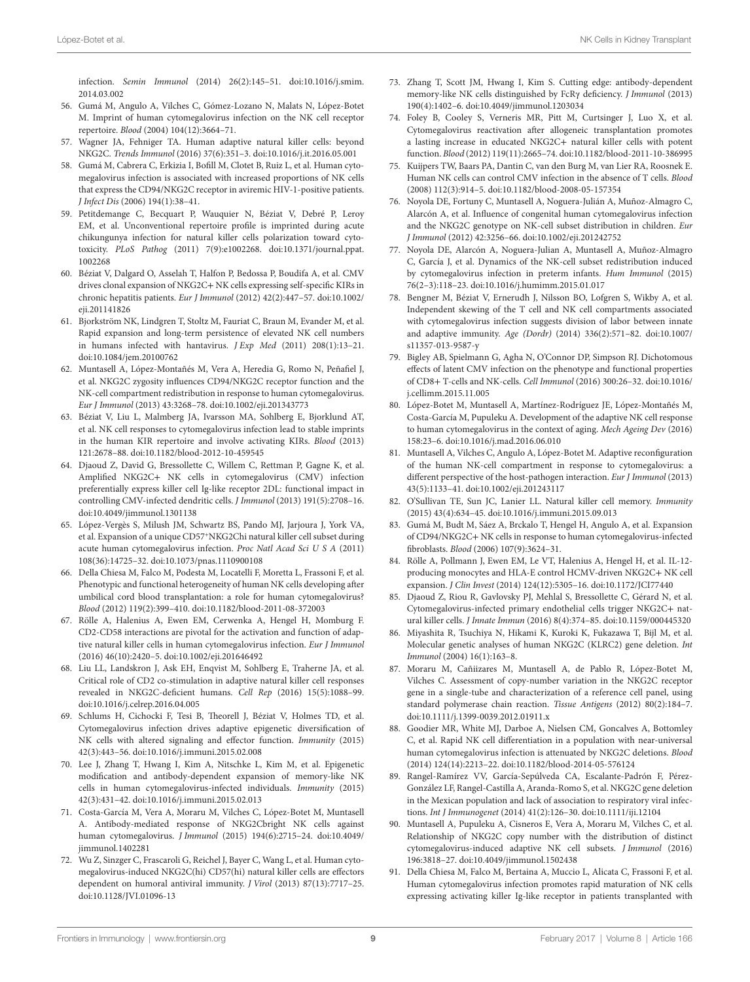<span id="page-8-0"></span>infection. *Semin Immunol* (2014) 26(2):145–51. doi[:10.1016/j.smim.](https://doi.org/10.1016/j.smim.
2014.03.002) [2014.03.002](https://doi.org/10.1016/j.smim.
2014.03.002)

- 56. Gumá M, Angulo A, Vilches C, Gómez-Lozano N, Malats N, López-Botet M. Imprint of human cytomegalovirus infection on the NK cell receptor repertoire. *Blood* (2004) 104(12):3664–71.
- <span id="page-8-1"></span>57. Wagner JA, Fehniger TA. Human adaptive natural killer cells: beyond NKG2C. *Trends Immunol* (2016) 37(6):351–3. doi[:10.1016/j.it.2016.05.001](https://doi.org/10.1016/j.it.2016.05.001)
- <span id="page-8-2"></span>58. Gumá M, Cabrera C, Erkizia I, Bofill M, Clotet B, Ruiz L, et al. Human cytomegalovirus infection is associated with increased proportions of NK cells that express the CD94/NKG2C receptor in aviremic HIV-1-positive patients. *J Infect Dis* (2006) 194(1):38–41.
- 59. Petitdemange C, Becquart P, Wauquier N, Béziat V, Debré P, Leroy EM, et al. Unconventional repertoire profile is imprinted during acute chikungunya infection for natural killer cells polarization toward cytotoxicity. *PLoS Pathog* (2011) 7(9):e1002268. doi:[10.1371/journal.ppat.](https://doi.org/10.1371/journal.ppat.
1002268) [1002268](https://doi.org/10.1371/journal.ppat.
1002268)
- 60. Béziat V, Dalgard O, Asselah T, Halfon P, Bedossa P, Boudifa A, et al. CMV drives clonal expansion of NKG2C+ NK cells expressing self-specific KIRs in chronic hepatitis patients. *Eur J Immunol* (2012) 42(2):447–57. doi[:10.1002/](https://doi.org/10.1002/eji.201141826) [eji.201141826](https://doi.org/10.1002/eji.201141826)
- <span id="page-8-3"></span>61. Bjorkström NK, Lindgren T, Stoltz M, Fauriat C, Braun M, Evander M, et al. Rapid expansion and long-term persistence of elevated NK cell numbers in humans infected with hantavirus. *J Exp Med* (2011) 208(1):13–21. doi:[10.1084/jem.20100762](https://doi.org/10.1084/jem.20100762)
- <span id="page-8-4"></span>62. Muntasell A, López-Montañés M, Vera A, Heredia G, Romo N, Peñafiel J, et al. NKG2C zygosity influences CD94/NKG2C receptor function and the NK-cell compartment redistribution in response to human cytomegalovirus. *Eur J Immunol* (2013) 43:3268–78. doi[:10.1002/eji.201343773](https://doi.org/10.1002/eji.201343773)
- <span id="page-8-12"></span>63. Béziat V, Liu L, Malmberg JA, Ivarsson MA, Sohlberg E, Bjorklund AT, et al. NK cell responses to cytomegalovirus infection lead to stable imprints in the human KIR repertoire and involve activating KIRs. *Blood* (2013) 121:2678–88. doi[:10.1182/blood-2012-10-459545](https://doi.org/10.1182/blood-2012-10-459545)
- <span id="page-8-5"></span>64. Djaoud Z, David G, Bressollette C, Willem C, Rettman P, Gagne K, et al. Amplified NKG2C+ NK cells in cytomegalovirus (CMV) infection preferentially express killer cell Ig-like receptor 2DL: functional impact in controlling CMV-infected dendritic cells. *J Immunol* (2013) 191(5):2708–16. doi:[10.4049/jimmunol.1301138](https://doi.org/10.4049/jimmunol.1301138)
- <span id="page-8-6"></span>65. López-Vergès S, Milush JM, Schwartz BS, Pando MJ, Jarjoura J, York VA, et al. Expansion of a unique CD57<sup>+</sup>NKG2Chi natural killer cell subset during acute human cytomegalovirus infection. *Proc Natl Acad Sci U S A* (2011) 108(36):14725–32. doi[:10.1073/pnas.1110900108](https://doi.org/10.1073/pnas.1110900108)
- <span id="page-8-7"></span>66. Della Chiesa M, Falco M, Podesta M, Locatelli F, Moretta L, Frassoni F, et al. Phenotypic and functional heterogeneity of human NK cells developing after umbilical cord blood transplantation: a role for human cytomegalovirus? *Blood* (2012) 119(2):399–410. doi:[10.1182/blood-2011-08-372003](https://doi.org/10.1182/blood-2011-08-372003)
- <span id="page-8-8"></span>67. Rölle A, Halenius A, Ewen EM, Cerwenka A, Hengel H, Momburg F. CD2-CD58 interactions are pivotal for the activation and function of adaptive natural killer cells in human cytomegalovirus infection. *Eur J Immunol* (2016) 46(10):2420–5. doi:[10.1002/eji.201646492](https://doi.org/10.1002/eji.201646492)
- <span id="page-8-9"></span>68. Liu LL, Landskron J, Ask EH, Enqvist M, Sohlberg E, Traherne JA, et al. Critical role of CD2 co-stimulation in adaptive natural killer cell responses revealed in NKG2C-deficient humans. *Cell Rep* (2016) 15(5):1088–99. doi:[10.1016/j.celrep.2016.04.005](https://doi.org/10.1016/j.celrep.2016.04.005)
- <span id="page-8-10"></span>69. Schlums H, Cichocki F, Tesi B, Theorell J, Béziat V, Holmes TD, et al. Cytomegalovirus infection drives adaptive epigenetic diversification of NK cells with altered signaling and effector function. *Immunity* (2015) 42(3):443–56. doi:[10.1016/j.immuni.2015.02.008](https://doi.org/10.1016/j.immuni.2015.02.008)
- <span id="page-8-11"></span>70. Lee J, Zhang T, Hwang I, Kim A, Nitschke L, Kim M, et al. Epigenetic modification and antibody-dependent expansion of memory-like NK cells in human cytomegalovirus-infected individuals. *Immunity* (2015) 42(3):431–42. doi:[10.1016/j.immuni.2015.02.013](https://doi.org/10.1016/j.immuni.2015.02.013)
- <span id="page-8-13"></span>71. Costa-García M, Vera A, Moraru M, Vilches C, López-Botet M, Muntasell A. Antibody-mediated response of NKG2Cbright NK cells against human cytomegalovirus. *J Immunol* (2015) 194(6):2715–24. doi[:10.4049/](https://doi.org/10.4049/jimmunol.1402281) [jimmunol.1402281](https://doi.org/10.4049/jimmunol.1402281)
- 72. Wu Z, Sinzger C, Frascaroli G, Reichel J, Bayer C, Wang L, et al. Human cytomegalovirus-induced NKG2C(hi) CD57(hi) natural killer cells are effectors dependent on humoral antiviral immunity. *J Virol* (2013) 87(13):7717–25. doi:[10.1128/JVI.01096-13](https://doi.org/10.1128/JVI.01096-13)
- <span id="page-8-14"></span>73. Zhang T, Scott JM, Hwang I, Kim S. Cutting edge: antibody-dependent memory-like NK cells distinguished by FcRγ deficiency. *J Immunol* (2013) 190(4):1402–6. doi[:10.4049/jimmunol.1203034](https://doi.org/10.4049/jimmunol.1203034)
- <span id="page-8-15"></span>74. Foley B, Cooley S, Verneris MR, Pitt M, Curtsinger J, Luo X, et al. Cytomegalovirus reactivation after allogeneic transplantation promotes a lasting increase in educated NKG2C+ natural killer cells with potent function. *Blood* (2012) 119(11):2665–74. doi:[10.1182/blood-2011-10-386995](https://doi.org/10.1182/blood-2011-10-386995)
- <span id="page-8-16"></span>75. Kuijpers TW, Baars PA, Dantin C, van den Burg M, van Lier RA, Roosnek E. Human NK cells can control CMV infection in the absence of T cells. *Blood* (2008) 112(3):914–5. doi:[10.1182/blood-2008-05-157354](https://doi.org/10.1182/blood-2008-05-157354)
- <span id="page-8-17"></span>76. Noyola DE, Fortuny C, Muntasell A, Noguera-Julián A, Muñoz-Almagro C, Alarcón A, et al. Influence of congenital human cytomegalovirus infection and the NKG2C genotype on NK-cell subset distribution in children. *Eur J Immunol* (2012) 42:3256–66. doi[:10.1002/eji.201242752](https://doi.org/10.1002/eji.201242752)
- <span id="page-8-18"></span>77. Noyola DE, Alarcón A, Noguera-Julian A, Muntasell A, Muñoz-Almagro C, García J, et al. Dynamics of the NK-cell subset redistribution induced by cytomegalovirus infection in preterm infants. *Hum Immunol* (2015) 76(2–3):118–23. doi[:10.1016/j.humimm.2015.01.017](https://doi.org/10.1016/j.humimm.2015.01.017)
- <span id="page-8-19"></span>78. Bengner M, Béziat V, Ernerudh J, Nilsson BO, Lofgren S, Wikby A, et al. Independent skewing of the T cell and NK cell compartments associated with cytomegalovirus infection suggests division of labor between innate and adaptive immunity. *Age (Dordr)* (2014) 336(2):571–82. doi[:10.1007/](https://doi.org/10.1007/s11357-013-9587-y) [s11357-013-9587-y](https://doi.org/10.1007/s11357-013-9587-y)
- 79. Bigley AB, Spielmann G, Agha N, O'Connor DP, Simpson RJ. Dichotomous effects of latent CMV infection on the phenotype and functional properties of CD8+ T-cells and NK-cells. *Cell Immunol* (2016) 300:26–32. doi[:10.1016/](https://doi.org/10.1016/
j.cellimm.2015.11.005) [j.cellimm.2015.11.005](https://doi.org/10.1016/
j.cellimm.2015.11.005)
- <span id="page-8-20"></span>80. López-Botet M, Muntasell A, Martínez-Rodríguez JE, López-Montañés M, Costa-García M, Pupuleku A. Development of the adaptive NK cell response to human cytomegalovirus in the context of aging. *Mech Ageing Dev* (2016) 158:23–6. doi[:10.1016/j.mad.2016.06.010](https://doi.org/10.1016/j.mad.2016.06.010)
- <span id="page-8-21"></span>81. Muntasell A, Vilches C, Angulo A, López-Botet M. Adaptive reconfiguration of the human NK-cell compartment in response to cytomegalovirus: a different perspective of the host-pathogen interaction. *Eur J Immunol* (2013) 43(5):1133–41. doi[:10.1002/eji.201243117](https://doi.org/10.1002/eji.201243117)
- <span id="page-8-22"></span>82. O'Sullivan TE, Sun JC, Lanier LL. Natural killer cell memory. *Immunity* (2015) 43(4):634–45. doi:[10.1016/j.immuni.2015.09.013](https://doi.org/10.1016/j.immuni.2015.09.013)
- <span id="page-8-23"></span>83. Gumá M, Budt M, Sáez A, Brckalo T, Hengel H, Angulo A, et al. Expansion of CD94/NKG2C+ NK cells in response to human cytomegalovirus-infected fibroblasts. *Blood* (2006) 107(9):3624–31.
- <span id="page-8-24"></span>84. Rölle A, Pollmann J, Ewen EM, Le VT, Halenius A, Hengel H, et al. IL-12 producing monocytes and HLA-E control HCMV-driven NKG2C+ NK cell expansion. *J Clin Invest* (2014) 124(12):5305–16. doi:[10.1172/JCI77440](https://doi.org/10.1172/JCI77440)
- <span id="page-8-25"></span>85. Djaoud Z, Riou R, Gavlovsky PJ, Mehlal S, Bressollette C, Gérard N, et al. Cytomegalovirus-infected primary endothelial cells trigger NKG2C+ natural killer cells. *J Innate Immun* (2016) 8(4):374–85. doi:[10.1159/000445320](https://doi.org/10.1159/000445320)
- <span id="page-8-26"></span>86. Miyashita R, Tsuchiya N, Hikami K, Kuroki K, Fukazawa T, Bijl M, et al. Molecular genetic analyses of human NKG2C (KLRC2) gene deletion. *Int Immunol* (2004) 16(1):163–8.
- 87. Moraru M, Cañiizares M, Muntasell A, de Pablo R, López-Botet M, Vilches C. Assessment of copy-number variation in the NKG2C receptor gene in a single-tube and characterization of a reference cell panel, using standard polymerase chain reaction. *Tissue Antigens* (2012) 80(2):184–7. doi:[10.1111/j.1399-0039.2012.01911.x](https://doi.org/10.1111/j.1399-0039.2012.01911.x)
- <span id="page-8-28"></span>88. Goodier MR, White MJ, Darboe A, Nielsen CM, Goncalves A, Bottomley C, et al. Rapid NK cell differentiation in a population with near-universal human cytomegalovirus infection is attenuated by NKG2C deletions. *Blood* (2014) 124(14):2213–22. doi:[10.1182/blood-2014-05-576124](https://doi.org/10.1182/blood-2014-05-576124)
- <span id="page-8-27"></span>89. Rangel-Ramírez VV, García-Sepúlveda CA, Escalante-Padrón F, Pérez-González LF, Rangel-Castilla A, Aranda-Romo S, et al. NKG2C gene deletion in the Mexican population and lack of association to respiratory viral infections. *Int J Immunogenet* (2014) 41(2):126–30. doi[:10.1111/iji.12104](https://doi.org/10.1111/iji.12104)
- <span id="page-8-29"></span>90. Muntasell A, Pupuleku A, Cisneros E, Vera A, Moraru M, Vilches C, et al. Relationship of NKG2C copy number with the distribution of distinct cytomegalovirus-induced adaptive NK cell subsets. *J Immunol* (2016) 196:3818–27. doi:[10.4049/jimmunol.1502438](https://doi.org/10.4049/jimmunol.1502438)
- <span id="page-8-30"></span>91. Della Chiesa M, Falco M, Bertaina A, Muccio L, Alicata C, Frassoni F, et al. Human cytomegalovirus infection promotes rapid maturation of NK cells expressing activating killer Ig-like receptor in patients transplanted with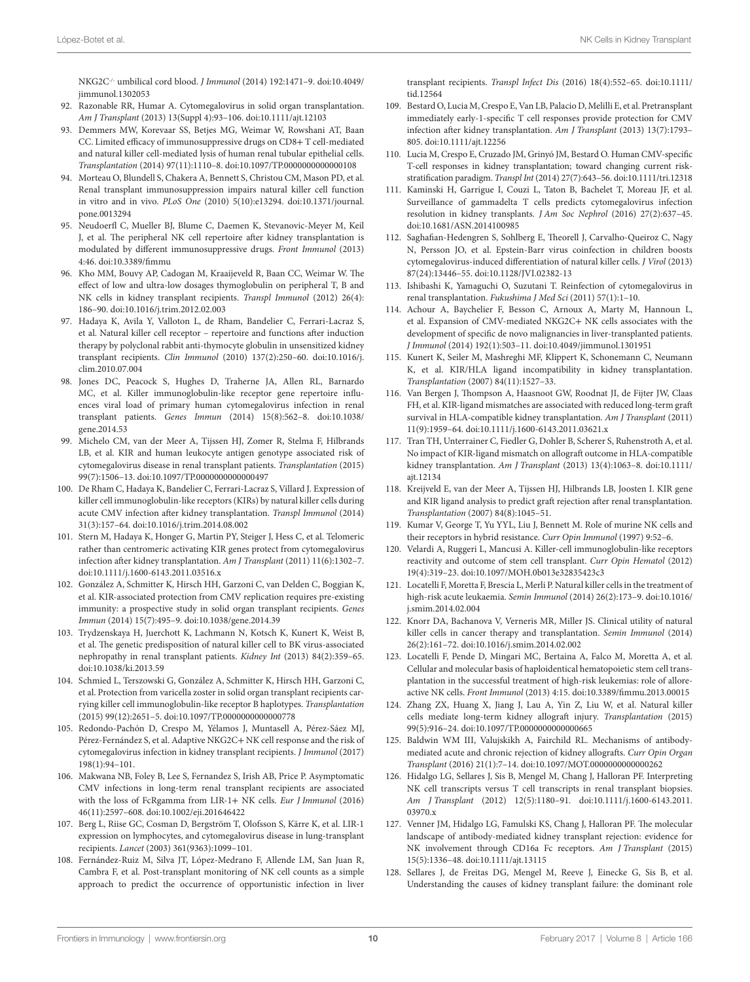<span id="page-9-0"></span>NKG2C-/- umbilical cord blood. *J Immunol* (2014) 192:1471–9. doi[:10.4049/](https://doi.org/10.4049/jimmunol.1302053) [jimmunol.1302053](https://doi.org/10.4049/jimmunol.1302053)

- 92. Razonable RR, Humar A. Cytomegalovirus in solid organ transplantation. *Am J Transplant* (2013) 13(Suppl 4):93–106. doi:[10.1111/ajt.12103](https://doi.org/10.1111/ajt.12103)
- <span id="page-9-1"></span>93. Demmers MW, Korevaar SS, Betjes MG, Weimar W, Rowshani AT, Baan CC. Limited efficacy of immunosuppressive drugs on CD8+ T cell-mediated and natural killer cell-mediated lysis of human renal tubular epithelial cells. *Transplantation* (2014) 97(11):1110–8. doi[:10.1097/TP.0000000000000108](https://doi.org/10.1097/TP.0000000000000108)
- <span id="page-9-2"></span>94. Morteau O, Blundell S, Chakera A, Bennett S, Christou CM, Mason PD, et al. Renal transplant immunosuppression impairs natural killer cell function in vitro and in vivo. *PLoS One* (2010) 5(10):e13294. doi:[10.1371/journal.](https://doi.org/10.1371/journal.pone.0013294) [pone.0013294](https://doi.org/10.1371/journal.pone.0013294)
- <span id="page-9-3"></span>95. Neudoerfl C, Mueller BJ, Blume C, Daemen K, Stevanovic-Meyer M, Keil J, et al. The peripheral NK cell repertoire after kidney transplantation is modulated by different immunosuppressive drugs. *Front Immunol* (2013) 4:46. doi:[10.3389/fimmu](https://doi.org/10.3389/fimmu)
- <span id="page-9-4"></span>96. Kho MM, Bouvy AP, Cadogan M, Kraaijeveld R, Baan CC, Weimar W. The effect of low and ultra-low dosages thymoglobulin on peripheral T, B and NK cells in kidney transplant recipients. *Transpl Immunol* (2012) 26(4): 186–90. doi[:10.1016/j.trim.2012.02.003](https://doi.org/10.1016/j.trim.2012.02.003)
- <span id="page-9-5"></span>97. Hadaya K, Avila Y, Valloton L, de Rham, Bandelier C, Ferrari-Lacraz S, et al. Natural killer cell receptor – repertoire and functions after induction therapy by polyclonal rabbit anti-thymocyte globulin in unsensitized kidney transplant recipients. *Clin Immunol* (2010) 137(2):250–60. doi:[10.1016/j.](https://doi.org/10.1016/j.clim.2010.07.004) [clim.2010.07.004](https://doi.org/10.1016/j.clim.2010.07.004)
- <span id="page-9-6"></span>98. Jones DC, Peacock S, Hughes D, Traherne JA, Allen RL, Barnardo MC, et al. Killer immunoglobulin-like receptor gene repertoire influences viral load of primary human cytomegalovirus infection in renal transplant patients. *Genes Immun* (2014) 15(8):562–8. doi[:10.1038/](https://doi.org/10.1038/
gene.2014.53) [gene.2014.53](https://doi.org/10.1038/
gene.2014.53)
- <span id="page-9-7"></span>99. Michelo CM, van der Meer A, Tijssen HJ, Zomer R, Stelma F, Hilbrands LB, et al. KIR and human leukocyte antigen genotype associated risk of cytomegalovirus disease in renal transplant patients. *Transplantation* (2015) 99(7):1506–13. doi[:10.1097/TP.0000000000000497](https://doi.org/10.1097/TP.0000000000000497)
- <span id="page-9-8"></span>100. De Rham C, Hadaya K, Bandelier C, Ferrari-Lacraz S, Villard J. Expression of killer cell immunoglobulin-like receptors (KIRs) by natural killer cells during acute CMV infection after kidney transplantation. *Transpl Immunol* (2014) 31(3):157–64. doi:[10.1016/j.trim.2014.08.002](https://doi.org/10.1016/j.trim.2014.08.002)
- <span id="page-9-9"></span>101. Stern M, Hadaya K, Honger G, Martin PY, Steiger J, Hess C, et al. Telomeric rather than centromeric activating KIR genes protect from cytomegalovirus infection after kidney transplantation. *Am J Transplant* (2011) 11(6):1302–7. doi:[10.1111/j.1600-6143.2011.03516.x](https://doi.org/10.1111/j.1600-6143.2011.03516.x)
- <span id="page-9-10"></span>102. González A, Schmitter K, Hirsch HH, Garzoni C, van Delden C, Boggian K, et al. KIR-associated protection from CMV replication requires pre-existing immunity: a prospective study in solid organ transplant recipients. *Genes Immun* (2014) 15(7):495–9. doi:[10.1038/gene.2014.39](https://doi.org/10.1038/gene.2014.39)
- <span id="page-9-11"></span>103. Trydzenskaya H, Juerchott K, Lachmann N, Kotsch K, Kunert K, Weist B, et al. The genetic predisposition of natural killer cell to BK virus-associated nephropathy in renal transplant patients. *Kidney Int* (2013) 84(2):359–65. doi:[10.1038/ki.2013.59](https://doi.org/10.1038/ki.2013.59)
- <span id="page-9-12"></span>104. Schmied L, Terszowski G, González A, Schmitter K, Hirsch HH, Garzoni C, et al. Protection from varicella zoster in solid organ transplant recipients carrying killer cell immunoglobulin-like receptor B haplotypes. *Transplantation* (2015) 99(12):2651–5. doi:[10.1097/TP.0000000000000778](https://doi.org/10.1097/TP.0000000000000778)
- <span id="page-9-13"></span>105. Redondo-Pachón D, Crespo M, Yélamos J, Muntasell A, Pérez-Sáez MJ, Pérez-Fernández S, et al. Adaptive NKG2C+ NK cell response and the risk of cytomegalovirus infection in kidney transplant recipients. *J Immunol* (2017) 198(1):94–101.
- <span id="page-9-14"></span>106. Makwana NB, Foley B, Lee S, Fernandez S, Irish AB, Price P. Asymptomatic CMV infections in long-term renal transplant recipients are associated with the loss of FcRgamma from LIR-1+ NK cells. *Eur J Immunol* (2016) 46(11):2597–608. doi:[10.1002/eji.201646422](https://doi.org/10.1002/eji.201646422)
- <span id="page-9-15"></span>107. Berg L, Riise GC, Cosman D, Bergström T, Olofsson S, Kärre K, et al. LIR-1 expression on lymphocytes, and cytomegalovirus disease in lung-transplant recipients. *Lancet* (2003) 361(9363):1099–101.
- <span id="page-9-16"></span>108. Fernández-Ruiz M, Silva JT, López-Medrano F, Allende LM, San Juan R, Cambra F, et al. Post-transplant monitoring of NK cell counts as a simple approach to predict the occurrence of opportunistic infection in liver

<span id="page-9-17"></span>transplant recipients. *Transpl Infect Dis* (2016) 18(4):552–65. doi[:10.1111/](https://doi.org/10.1111/tid.12564) [tid.12564](https://doi.org/10.1111/tid.12564)

- 109. Bestard O, Lucia M, Crespo E, Van LB, Palacio D, Melilli E, et al. Pretransplant immediately early-1-specific T cell responses provide protection for CMV infection after kidney transplantation. *Am J Transplant* (2013) 13(7):1793– 805. doi:[10.1111/ajt.12256](https://doi.org/10.1111/ajt.12256)
- <span id="page-9-18"></span>110. Lucia M, Crespo E, Cruzado JM, Grinyó JM, Bestard O. Human CMV-specific T-cell responses in kidney transplantation; toward changing current riskstratification paradigm. *Transpl Int* (2014) 27(7):643–56. doi:[10.1111/tri.12318](https://doi.org/10.1111/tri.12318)
- <span id="page-9-19"></span>111. Kaminski H, Garrigue I, Couzi L, Taton B, Bachelet T, Moreau JF, et al. Surveillance of gammadelta T cells predicts cytomegalovirus infection resolution in kidney transplants. *J Am Soc Nephrol* (2016) 27(2):637–45. doi:[10.1681/ASN.2014100985](https://doi.org/10.1681/ASN.2014100985)
- <span id="page-9-20"></span>112. Saghafian-Hedengren S, Sohlberg E, Theorell J, Carvalho-Queiroz C, Nagy N, Persson JO, et al. Epstein-Barr virus coinfection in children boosts cytomegalovirus-induced differentiation of natural killer cells. *J Virol* (2013) 87(24):13446–55. doi[:10.1128/JVI.02382-13](https://doi.org/10.1128/JVI.02382-13)
- <span id="page-9-21"></span>113. Ishibashi K, Yamaguchi O, Suzutani T. Reinfection of cytomegalovirus in renal transplantation. *Fukushima J Med Sci* (2011) 57(1):1–10.
- <span id="page-9-22"></span>114. Achour A, Baychelier F, Besson C, Arnoux A, Marty M, Hannoun L, et al. Expansion of CMV-mediated NKG2C+ NK cells associates with the development of specific de novo malignancies in liver-transplanted patients. *J Immunol* (2014) 192(1):503–11. doi[:10.4049/jimmunol.1301951](https://doi.org/10.4049/jimmunol.1301951)
- <span id="page-9-23"></span>115. Kunert K, Seiler M, Mashreghi MF, Klippert K, Schonemann C, Neumann K, et al. KIR/HLA ligand incompatibility in kidney transplantation. *Transplantation* (2007) 84(11):1527–33.
- <span id="page-9-24"></span>116. Van Bergen J, Thompson A, Haasnoot GW, Roodnat JI, de Fijter JW, Claas FH, et al. KIR-ligand mismatches are associated with reduced long-term graft survival in HLA-compatible kidney transplantation. *Am J Transplant* (2011) 11(9):1959–64. doi[:10.1111/j.1600-6143.2011.03621.x](https://doi.org/10.1111/j.1600-6143.2011.03621.x)
- <span id="page-9-25"></span>117. Tran TH, Unterrainer C, Fiedler G, Dohler B, Scherer S, Ruhenstroth A, et al. No impact of KIR-ligand mismatch on allograft outcome in HLA-compatible kidney transplantation. *Am J Transplant* (2013) 13(4):1063–8. doi[:10.1111/](https://doi.org/10.1111/ajt.12134) [ajt.12134](https://doi.org/10.1111/ajt.12134)
- <span id="page-9-26"></span>118. Kreijveld E, van der Meer A, Tijssen HJ, Hilbrands LB, Joosten I. KIR gene and KIR ligand analysis to predict graft rejection after renal transplantation. *Transplantation* (2007) 84(8):1045–51.
- <span id="page-9-27"></span>119. Kumar V, George T, Yu YYL, Liu J, Bennett M. Role of murine NK cells and their receptors in hybrid resistance. *Curr Opin Immunol* (1997) 9:52–6.
- <span id="page-9-28"></span>120. Velardi A, Ruggeri L, Mancusi A. Killer-cell immunoglobulin-like receptors reactivity and outcome of stem cell transplant. *Curr Opin Hematol* (2012) 19(4):319–23. doi:[10.1097/MOH.0b013e32835423c3](https://doi.org/10.1097/MOH.0b013e32835423c3)
- <span id="page-9-29"></span>121. Locatelli F, Moretta F, Brescia L, Merli P. Natural killer cells in the treatment of high-risk acute leukaemia. *Semin Immunol* (2014) 26(2):173–9. doi[:10.1016/](https://doi.org/10.1016/
j.smim.2014.02.004) [j.smim.2014.02.004](https://doi.org/10.1016/
j.smim.2014.02.004)
- <span id="page-9-30"></span>122. Knorr DA, Bachanova V, Verneris MR, Miller JS. Clinical utility of natural killer cells in cancer therapy and transplantation. *Semin Immunol* (2014) 26(2):161–72. doi:[10.1016/j.smim.2014.02.002](https://doi.org/10.1016/j.smim.2014.02.002)
- <span id="page-9-31"></span>123. Locatelli F, Pende D, Mingari MC, Bertaina A, Falco M, Moretta A, et al. Cellular and molecular basis of haploidentical hematopoietic stem cell transplantation in the successful treatment of high-risk leukemias: role of alloreactive NK cells. *Front Immunol* (2013) 4:15. doi:[10.3389/fimmu.2013.00015](https://doi.org/10.3389/fimmu.
2013.00015)
- <span id="page-9-32"></span>124. Zhang ZX, Huang X, Jiang J, Lau A, Yin Z, Liu W, et al. Natural killer cells mediate long-term kidney allograft injury. *Transplantation* (2015) 99(5):916–24. doi:[10.1097/TP.0000000000000665](https://doi.org/10.1097/TP.0000000000000665)
- <span id="page-9-33"></span>125. Baldwin WM III, Valujskikh A, Fairchild RL. Mechanisms of antibodymediated acute and chronic rejection of kidney allografts. *Curr Opin Organ Transplant* (2016) 21(1):7–14. doi[:10.1097/MOT.0000000000000262](https://doi.org/10.1097/MOT.0000000000000262)
- <span id="page-9-34"></span>126. Hidalgo LG, Sellares J, Sis B, Mengel M, Chang J, Halloran PF. Interpreting NK cell transcripts versus T cell transcripts in renal transplant biopsies. *Am J Transplant* (2012) 12(5):1180–91. doi[:10.1111/j.1600-6143.2011.](https://doi.org/10.1111/j.1600-6143.2011.
03970.x) [03970.x](https://doi.org/10.1111/j.1600-6143.2011.
03970.x)
- <span id="page-9-35"></span>127. Venner JM, Hidalgo LG, Famulski KS, Chang J, Halloran PF. The molecular landscape of antibody-mediated kidney transplant rejection: evidence for NK involvement through CD16a Fc receptors. *Am J Transplant* (2015) 15(5):1336–48. doi[:10.1111/ajt.13115](https://doi.org/10.1111/ajt.13115)
- <span id="page-9-36"></span>128. Sellares J, de Freitas DG, Mengel M, Reeve J, Einecke G, Sis B, et al. Understanding the causes of kidney transplant failure: the dominant role